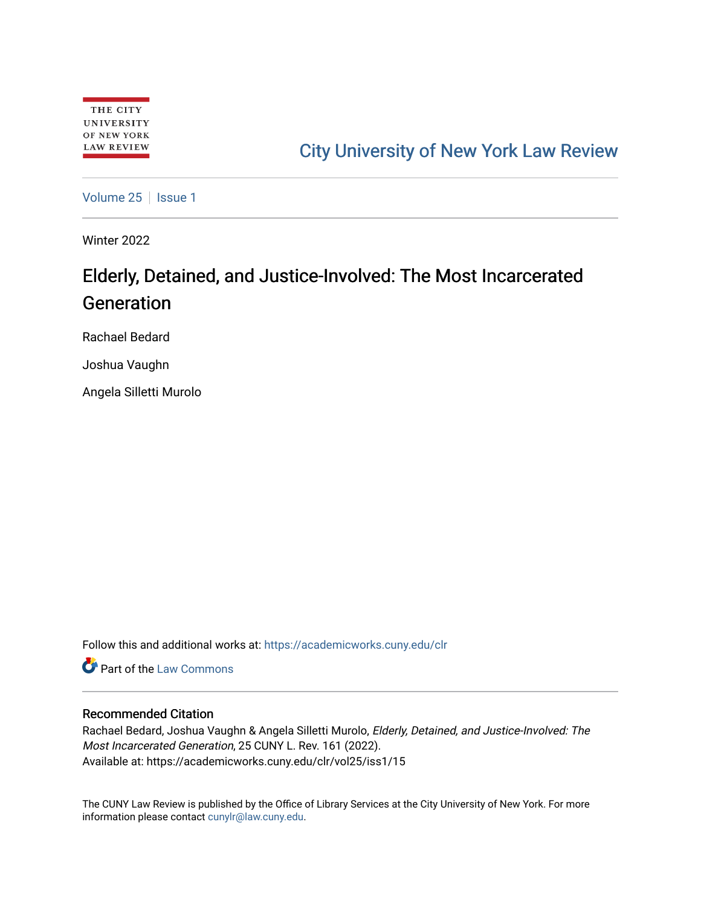# [City University of New York Law Review](https://academicworks.cuny.edu/clr)

[Volume 25](https://academicworks.cuny.edu/clr/vol25) | [Issue 1](https://academicworks.cuny.edu/clr/vol25/iss1)

Winter 2022

# Elderly, Detained, and Justice-Involved: The Most Incarcerated Generation

Rachael Bedard

Joshua Vaughn

Angela Silletti Murolo

Follow this and additional works at: [https://academicworks.cuny.edu/clr](https://academicworks.cuny.edu/clr?utm_source=academicworks.cuny.edu%2Fclr%2Fvol25%2Fiss1%2F15&utm_medium=PDF&utm_campaign=PDFCoverPages) 

**C** Part of the [Law Commons](http://network.bepress.com/hgg/discipline/578?utm_source=academicworks.cuny.edu%2Fclr%2Fvol25%2Fiss1%2F15&utm_medium=PDF&utm_campaign=PDFCoverPages)

## Recommended Citation

Rachael Bedard, Joshua Vaughn & Angela Silletti Murolo, Elderly, Detained, and Justice-Involved: The Most Incarcerated Generation, 25 CUNY L. Rev. 161 (2022). Available at: https://academicworks.cuny.edu/clr/vol25/iss1/15

The CUNY Law Review is published by the Office of Library Services at the City University of New York. For more information please contact [cunylr@law.cuny.edu](mailto:cunylr@law.cuny.edu).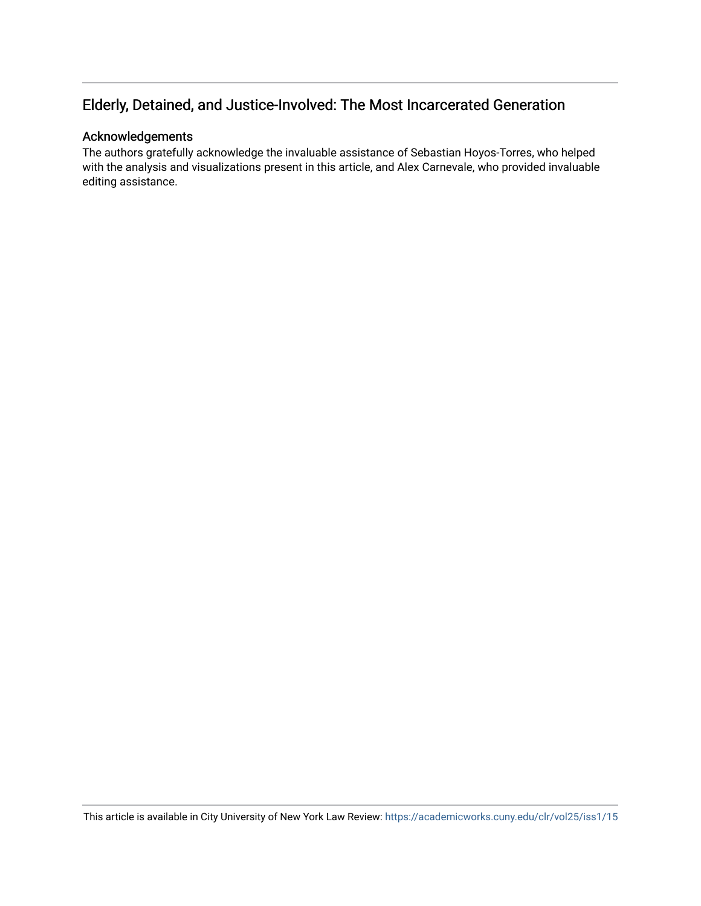# Elderly, Detained, and Justice-Involved: The Most Incarcerated Generation

# Acknowledgements

The authors gratefully acknowledge the invaluable assistance of Sebastian Hoyos-Torres, who helped with the analysis and visualizations present in this article, and Alex Carnevale, who provided invaluable editing assistance.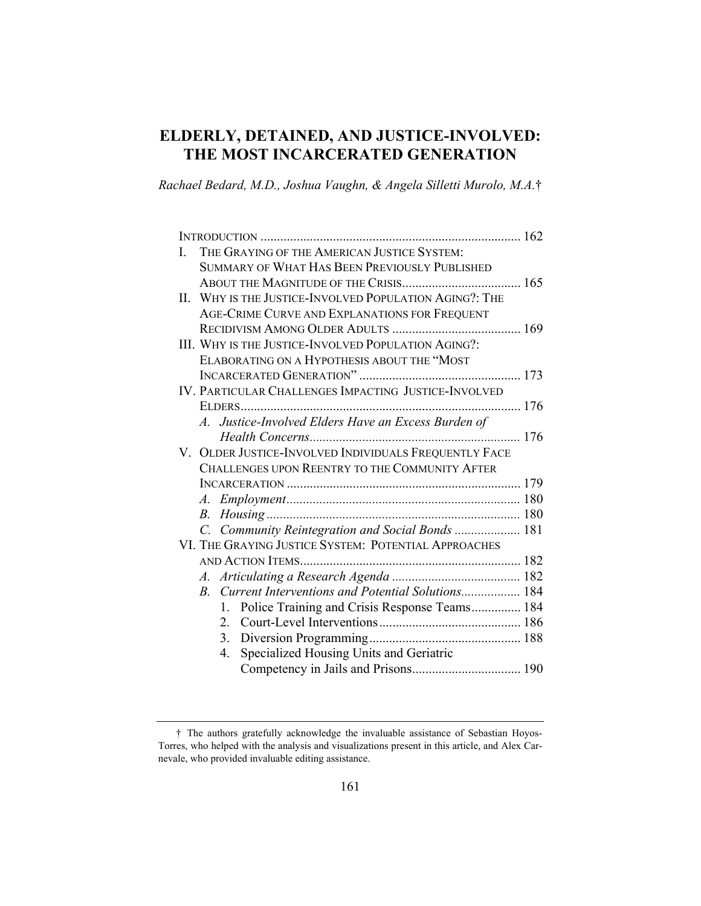# **ELDERLY, DETAINED, AND JUSTICE-INVOLVED: THE MOST INCARCERATED GENERATION**

*Rachael Bedard, M.D., Joshua Vaughn, & Angela Silletti Murolo, M.A.*†

| THE GRAYING OF THE AMERICAN JUSTICE SYSTEM:<br>L          |
|-----------------------------------------------------------|
| SUMMARY OF WHAT HAS BEEN PREVIOUSLY PUBLISHED             |
|                                                           |
| WHY IS THE JUSTICE-INVOLVED POPULATION AGING?: THE<br>II. |
| AGE-CRIME CURVE AND EXPLANATIONS FOR FREQUENT             |
|                                                           |
| III. WHY IS THE JUSTICE-INVOLVED POPULATION AGING?:       |
| ELABORATING ON A HYPOTHESIS ABOUT THE "MOST               |
|                                                           |
| IV. PARTICULAR CHALLENGES IMPACTING JUSTICE-INVOLVED      |
|                                                           |
| A. Justice-Involved Elders Have an Excess Burden of       |
|                                                           |
| V. OLDER JUSTICE-INVOLVED INDIVIDUALS FREQUENTLY FACE     |
| CHALLENGES UPON REENTRY TO THE COMMUNITY AFTER            |
|                                                           |
|                                                           |
|                                                           |
| C. Community Reintegration and Social Bonds  181          |
| VI. THE GRAYING JUSTICE SYSTEM: POTENTIAL APPROACHES      |
|                                                           |
|                                                           |
| B. Current Interventions and Potential Solutions 184      |
| 1. Police Training and Crisis Response Teams 184          |
|                                                           |
|                                                           |
| Specialized Housing Units and Geriatric<br>4.             |
|                                                           |

 <sup>†</sup> The authors gratefully acknowledge the invaluable assistance of Sebastian Hoyos-Torres, who helped with the analysis and visualizations present in this article, and Alex Carnevale, who provided invaluable editing assistance.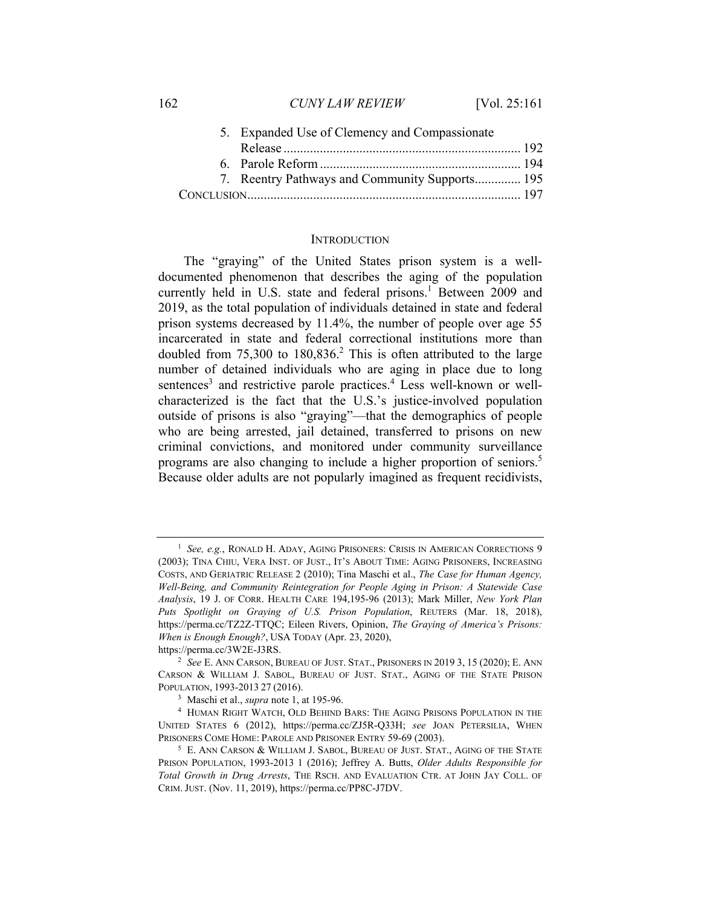| 162 | <b>CUNY LAW REVIEW</b>                        | [Vol. $25:161$ ] |
|-----|-----------------------------------------------|------------------|
|     | 5. Expanded Use of Clemency and Compassionate |                  |

| 7. Reentry Pathways and Community Supports 195 |  |
|------------------------------------------------|--|
|                                                |  |

#### **INTRODUCTION**

The "graying" of the United States prison system is a welldocumented phenomenon that describes the aging of the population currently held in U.S. state and federal prisons.<sup>1</sup> Between 2009 and 2019, as the total population of individuals detained in state and federal prison systems decreased by 11.4%, the number of people over age 55 incarcerated in state and federal correctional institutions more than doubled from  $75,300$  to  $180,836$ <sup>2</sup>. This is often attributed to the large number of detained individuals who are aging in place due to long sentences<sup>3</sup> and restrictive parole practices.<sup>4</sup> Less well-known or wellcharacterized is the fact that the U.S.'s justice-involved population outside of prisons is also "graying"—that the demographics of people who are being arrested, jail detained, transferred to prisons on new criminal convictions, and monitored under community surveillance programs are also changing to include a higher proportion of seniors.<sup>5</sup> Because older adults are not popularly imagined as frequent recidivists,

<sup>&</sup>lt;sup>1</sup> See, e.g., RONALD H. ADAY, AGING PRISONERS: CRISIS IN AMERICAN CORRECTIONS 9 (2003); TINA CHIU, VERA INST. OF JUST., IT'S ABOUT TIME: AGING PRISONERS, INCREASING COSTS, AND GERIATRIC RELEASE 2 (2010); Tina Maschi et al., *The Case for Human Agency, Well-Being, and Community Reintegration for People Aging in Prison: A Statewide Case Analysis*, 19 J. OF CORR. HEALTH CARE 194,195-96 (2013); Mark Miller, *New York Plan Puts Spotlight on Graying of U.S. Prison Population*, REUTERS (Mar. 18, 2018), https://perma.cc/TZ2Z-TTQC; Eileen Rivers, Opinion, *The Graying of America's Prisons: When is Enough Enough?*, USA TODAY (Apr. 23, 2020),

https://perma.cc/3W2E-J3RS. 2 *See* E. ANN CARSON, BUREAU OF JUST. STAT., PRISONERS IN 2019 3, <sup>15</sup> (2020); E. ANN

CARSON & WILLIAM J. SABOL, BUREAU OF JUST. STAT., AGING OF THE STATE PRISON POPULATION, 1993-2013 27 (2016).<br><sup>3</sup> Maschi et al., *supra* note 1, at 195-96.<br><sup>4</sup> HUMAN RIGHT WATCH, OLD BEHIND BARS: THE AGING PRISONS POPULATION IN THE

UNITED STATES 6 (2012), https://perma.cc/ZJ5R-Q33H; *see* JOAN PETERSILIA, WHEN PRISONERS COME HOME: PAROLE AND PRISONER ENTRY 59-69 (2003).<br><sup>5</sup> E. ANN CARSON & WILLIAM J. SABOL, BUREAU OF JUST. STAT., AGING OF THE STATE

PRISON POPULATION, 1993-2013 1 (2016); Jeffrey A. Butts, *Older Adults Responsible for Total Growth in Drug Arrests*, THE RSCH. AND EVALUATION CTR. AT JOHN JAY COLL. OF CRIM. JUST. (Nov. 11, 2019), https://perma.cc/PP8C-J7DV.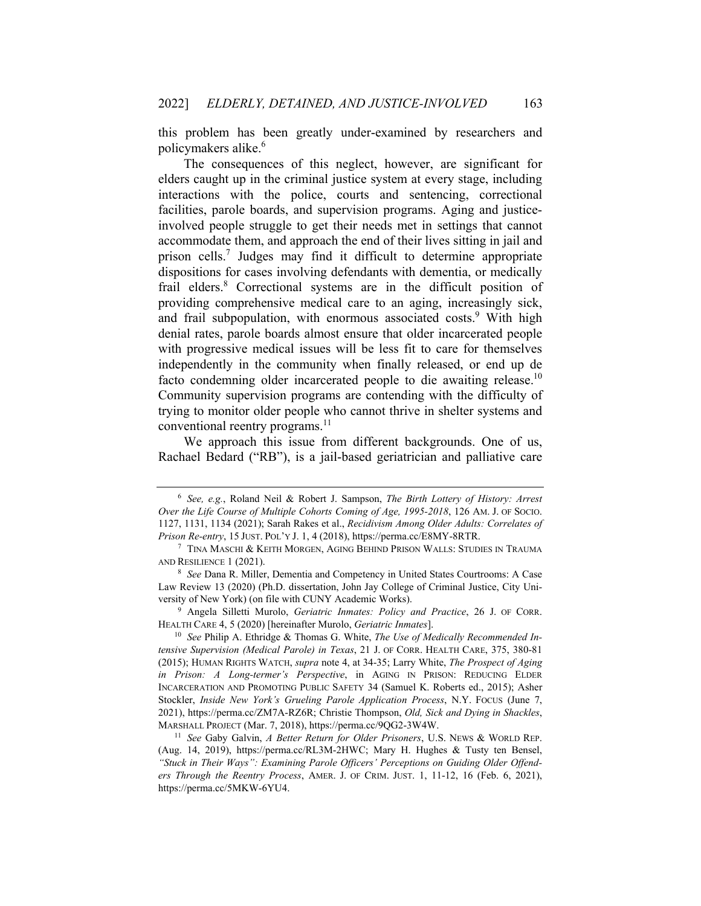this problem has been greatly under-examined by researchers and policymakers alike.<sup>6</sup>

The consequences of this neglect, however, are significant for elders caught up in the criminal justice system at every stage, including interactions with the police, courts and sentencing, correctional facilities, parole boards, and supervision programs. Aging and justiceinvolved people struggle to get their needs met in settings that cannot accommodate them, and approach the end of their lives sitting in jail and prison cells.<sup>7</sup> Judges may find it difficult to determine appropriate dispositions for cases involving defendants with dementia, or medically frail elders.<sup>8</sup> Correctional systems are in the difficult position of providing comprehensive medical care to an aging, increasingly sick, and frail subpopulation, with enormous associated costs.<sup>9</sup> With high denial rates, parole boards almost ensure that older incarcerated people with progressive medical issues will be less fit to care for themselves independently in the community when finally released, or end up de facto condemning older incarcerated people to die awaiting release.<sup>10</sup> Community supervision programs are contending with the difficulty of trying to monitor older people who cannot thrive in shelter systems and conventional reentry programs.<sup>11</sup>

We approach this issue from different backgrounds. One of us, Rachael Bedard ("RB"), is a jail-based geriatrician and palliative care

<sup>6</sup> *See, e.g.*, Roland Neil & Robert J. Sampson, *The Birth Lottery of History: Arrest Over the Life Course of Multiple Cohorts Coming of Age, 1995-2018*, 126 AM. J. OF SOCIO. 1127, 1131, 1134 (2021); Sarah Rakes et al., *Recidivism Among Older Adults: Correlates of Prison Re-entry*, 15 JUST. POL'Y J. 1, 4 (2018), https://perma.cc/E8MY-8RTR.<br><sup>7</sup> TINA MASCHI & KEITH MORGEN, AGING BEHIND PRISON WALLS: STUDIES IN TRAUMA

AND RESILIENCE 1 (2021). 8 *See* Dana R. Miller, Dementia and Competency in United States Courtrooms: A Case

Law Review 13 (2020) (Ph.D. dissertation, John Jay College of Criminal Justice, City University of New York) (on file with CUNY Academic Works). 9 Angela Silletti Murolo, *Geriatric Inmates: Policy and Practice*, 26 J. OF CORR.

HEALTH CARE 4, 5 (2020) [hereinafter Murolo, *Geriatric Inmates*]. 10 *See* Philip A. Ethridge & Thomas G. White, *The Use of Medically Recommended In-*

*tensive Supervision (Medical Parole) in Texas*, 21 J. OF CORR. HEALTH CARE, 375, 380-81 (2015); HUMAN RIGHTS WATCH, *supra* note 4, at 34-35; Larry White, *The Prospect of Aging in Prison: A Long-termer's Perspective*, in AGING IN PRISON: REDUCING ELDER INCARCERATION AND PROMOTING PUBLIC SAFETY 34 (Samuel K. Roberts ed., 2015); Asher Stockler, *Inside New York's Grueling Parole Application Process*, N.Y. FOCUS (June 7, 2021), https://perma.cc/ZM7A-RZ6R; Christie Thompson, *Old, Sick and Dying in Shackles*, MARSHALL PROJECT (Mar. 7, 2018), https://perma.cc/9QG2-3W4W. 11 *See* Gaby Galvin, *A Better Return for Older Prisoners*, U.S. NEWS & WORLD REP.

<sup>(</sup>Aug. 14, 2019), https://perma.cc/RL3M-2HWC; Mary H. Hughes & Tusty ten Bensel, *"Stuck in Their Ways": Examining Parole Officers' Perceptions on Guiding Older Offenders Through the Reentry Process*, AMER. J. OF CRIM. JUST. 1, 11-12, 16 (Feb. 6, 2021), https://perma.cc/5MKW-6YU4.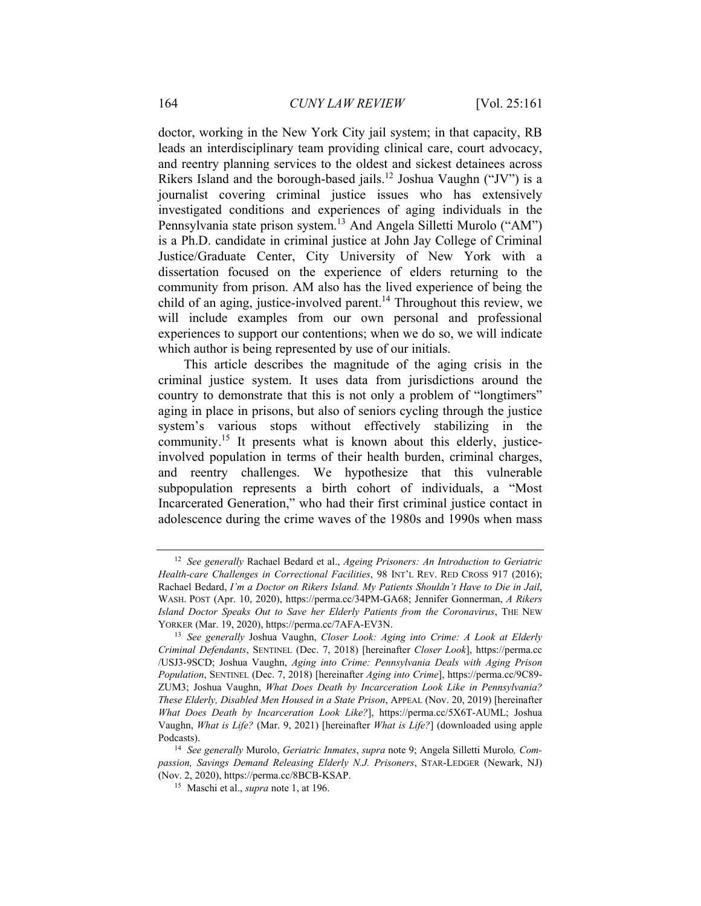doctor, working in the New York City jail system; in that capacity, RB leads an interdisciplinary team providing clinical care, court advocacy, and reentry planning services to the oldest and sickest detainees across Rikers Island and the borough-based jails.12 Joshua Vaughn ("JV") is a journalist covering criminal justice issues who has extensively investigated conditions and experiences of aging individuals in the Pennsylvania state prison system.13 And Angela Silletti Murolo ("AM") is a Ph.D. candidate in criminal justice at John Jay College of Criminal Justice/Graduate Center, City University of New York with a dissertation focused on the experience of elders returning to the community from prison. AM also has the lived experience of being the child of an aging, justice-involved parent.<sup>14</sup> Throughout this review, we will include examples from our own personal and professional experiences to support our contentions; when we do so, we will indicate which author is being represented by use of our initials.

This article describes the magnitude of the aging crisis in the criminal justice system. It uses data from jurisdictions around the country to demonstrate that this is not only a problem of "longtimers" aging in place in prisons, but also of seniors cycling through the justice system's various stops without effectively stabilizing in the community.<sup>15</sup> It presents what is known about this elderly, justiceinvolved population in terms of their health burden, criminal charges, and reentry challenges. We hypothesize that this vulnerable subpopulation represents a birth cohort of individuals, a "Most Incarcerated Generation," who had their first criminal justice contact in adolescence during the crime waves of the 1980s and 1990s when mass

<sup>12</sup> *See generally* Rachael Bedard et al., *Ageing Prisoners: An Introduction to Geriatric Health-care Challenges in Correctional Facilities*, 98 INT'L REV. RED CROSS 917 (2016); Rachael Bedard, *I'm a Doctor on Rikers Island. My Patients Shouldn't Have to Die in Jail*, WASH. POST (Apr. 10, 2020), https://perma.cc/34PM-GA68; Jennifer Gonnerman, *A Rikers Island Doctor Speaks Out to Save her Elderly Patients from the Coronavirus*, THE NEW YORKER (Mar. 19, 2020), https://perma.cc/7AFA-EV3N. 13 *See generally* Joshua Vaughn, *Closer Look: Aging into Crime: A Look at Elderly* 

*Criminal Defendants*, SENTINEL (Dec. 7, 2018) [hereinafter *Closer Look*], https://perma.cc /USJ3-9SCD; Joshua Vaughn, *Aging into Crime: Pennsylvania Deals with Aging Prison Population*, SENTINEL (Dec. 7, 2018) [hereinafter *Aging into Crime*], https://perma.cc/9C89- ZUM3; Joshua Vaughn, *What Does Death by Incarceration Look Like in Pennsylvania? These Elderly, Disabled Men Housed in a State Prison*, APPEAL (Nov. 20, 2019) [hereinafter *What Does Death by Incarceration Look Like?*], https://perma.cc/5X6T-AUML; Joshua Vaughn, *What is Life?* (Mar. 9, 2021) [hereinafter *What is Life?*] (downloaded using apple Podcasts). 14 *See generally* Murolo, *Geriatric Inmates*, *supra* note 9; Angela Silletti Murolo*, Com-*

*passion, Savings Demand Releasing Elderly N.J. Prisoners*, STAR-LEDGER (Newark, NJ) (Nov. 2, 2020), https://perma.cc/8BCB-KSAP. 15 Maschi et al., *supra* note 1, at 196.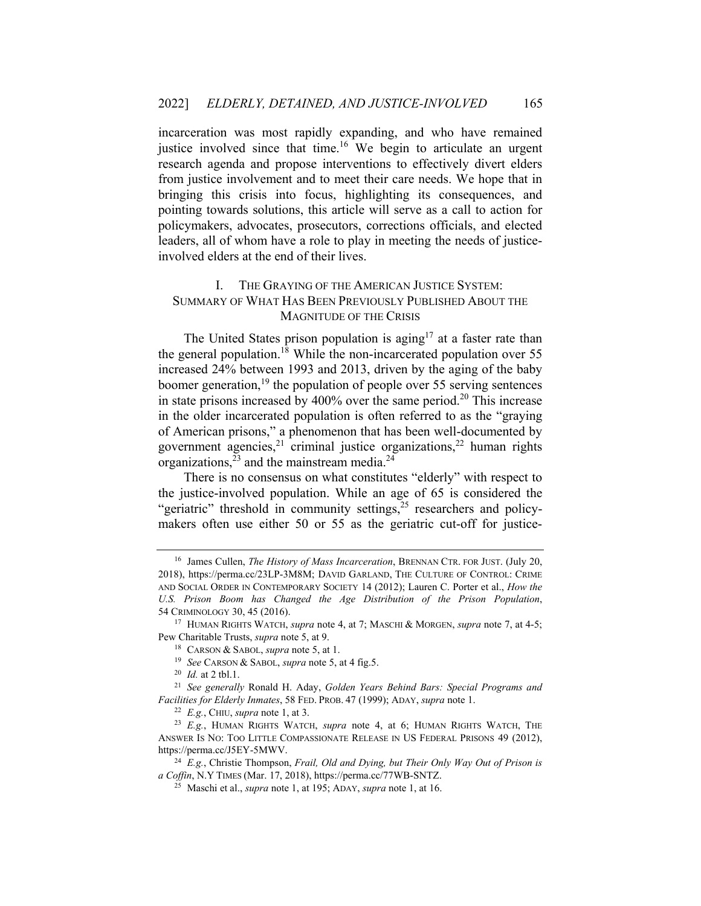incarceration was most rapidly expanding, and who have remained justice involved since that time.<sup>16</sup> We begin to articulate an urgent research agenda and propose interventions to effectively divert elders from justice involvement and to meet their care needs. We hope that in bringing this crisis into focus, highlighting its consequences, and pointing towards solutions, this article will serve as a call to action for policymakers, advocates, prosecutors, corrections officials, and elected leaders, all of whom have a role to play in meeting the needs of justiceinvolved elders at the end of their lives.

## I. THE GRAYING OF THE AMERICAN JUSTICE SYSTEM: SUMMARY OF WHAT HAS BEEN PREVIOUSLY PUBLISHED ABOUT THE MAGNITUDE OF THE CRISIS

The United States prison population is aging<sup>17</sup> at a faster rate than the general population.<sup>18</sup> While the non-incarcerated population over 55 increased 24% between 1993 and 2013, driven by the aging of the baby boomer generation, $^{19}$  the population of people over 55 serving sentences in state prisons increased by  $400\%$  over the same period.<sup>20</sup> This increase in the older incarcerated population is often referred to as the "graying of American prisons," a phenomenon that has been well-documented by government agencies,<sup>21</sup> criminal justice organizations,<sup>22</sup> human rights organizations,  $^{23}$  and the mainstream media.<sup>24</sup>

There is no consensus on what constitutes "elderly" with respect to the justice-involved population. While an age of 65 is considered the "geriatric" threshold in community settings, $2<sup>5</sup>$  researchers and policymakers often use either 50 or 55 as the geriatric cut-off for justice-

<sup>16</sup> James Cullen, *The History of Mass Incarceration*, BRENNAN CTR. FOR JUST. (July 20, 2018), https://perma.cc/23LP-3M8M; DAVID GARLAND, THE CULTURE OF CONTROL: CRIME AND SOCIAL ORDER IN CONTEMPORARY SOCIETY 14 (2012); Lauren C. Porter et al., *How the U.S. Prison Boom has Changed the Age Distribution of the Prison Population*, 54 CRIMINOLOGY 30, 45 (2016). 17 HUMAN RIGHTS WATCH, *supra* note 4, at 7; MASCHI & MORGEN, *supra* note 7, at 4-5;

Pew Charitable Trusts, *supra* note 5, at 9.<br><sup>18</sup> CARSON & SABOL, *supra* note 5, at 1.<br><sup>19</sup> See CARSON & SABOL, *supra* note 5, at 4 fig.5.<br><sup>20</sup> Id. at 2 tbl.1.<br><sup>21</sup> See generally Ronald H. Aday, *Golden Years Behind Bars* 

*Facilities for Elderly Inmates*, 58 FED. PROB. 47 (1999); ADAY, *supra* note 1.<br><sup>22</sup> *E.g.*, CHIU, *supra* note 1, at 3.<br><sup>23</sup> *E.g.*, HUMAN RIGHTS WATCH, *supra* note 4, at 6; HUMAN RIGHTS WATCH, THE

ANSWER IS NO: TOO LITTLE COMPASSIONATE RELEASE IN US FEDERAL PRISONS 49 (2012),

https://perma.cc/J5EY-5MWV.<br><sup>24</sup> E.g., Christie Thompson, *Frail, Old and Dying, but Their Only Way Out of Prison is a Coffin, N.Y TIMES (Mar. 17, 2018), https://perma.cc/77WB-SNTZ.* 

<sup>&</sup>lt;sup>25</sup> Maschi et al., *supra* note 1, at 195; ADAY, *supra* note 1, at 16.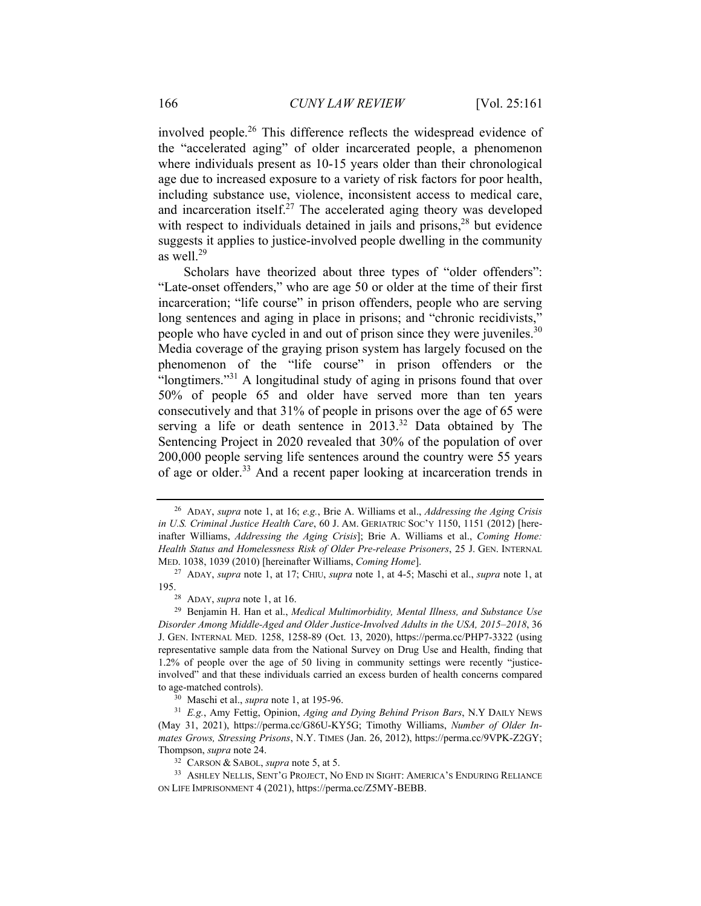involved people.26 This difference reflects the widespread evidence of the "accelerated aging" of older incarcerated people, a phenomenon where individuals present as 10-15 years older than their chronological age due to increased exposure to a variety of risk factors for poor health, including substance use, violence, inconsistent access to medical care, and incarceration itself. $27$  The accelerated aging theory was developed with respect to individuals detained in jails and prisons, $28$  but evidence suggests it applies to justice-involved people dwelling in the community as well.29

Scholars have theorized about three types of "older offenders": "Late-onset offenders," who are age 50 or older at the time of their first incarceration; "life course" in prison offenders, people who are serving long sentences and aging in place in prisons; and "chronic recidivists," people who have cycled in and out of prison since they were juveniles.<sup>30</sup> Media coverage of the graying prison system has largely focused on the phenomenon of the "life course" in prison offenders or the "longtimers."<sup>31</sup> A longitudinal study of aging in prisons found that over 50% of people 65 and older have served more than ten years consecutively and that 31% of people in prisons over the age of 65 were serving a life or death sentence in 2013.<sup>32</sup> Data obtained by The Sentencing Project in 2020 revealed that 30% of the population of over 200,000 people serving life sentences around the country were 55 years of age or older.33 And a recent paper looking at incarceration trends in

<sup>26</sup> ADAY, *supra* note 1, at 16; *e.g.*, Brie A. Williams et al., *Addressing the Aging Crisis in U.S. Criminal Justice Health Care*, 60 J. AM. GERIATRIC SOC'Y 1150, 1151 (2012) [hereinafter Williams, *Addressing the Aging Crisis*]; Brie A. Williams et al., *Coming Home: Health Status and Homelessness Risk of Older Pre-release Prisoners*, 25 J. GEN. INTERNAL MED. 1038, 1039 (2010) [hereinafter Williams, *Coming Home*]. 27 ADAY, *supra* note 1, at 17; CHIU, *supra* note 1, at 4-5; Maschi et al., *supra* note 1, at

<sup>195. 28</sup> ADAY, *supra* note 1, at 16. 29 Benjamin H. Han et al., *Medical Multimorbidity, Mental Illness, and Substance Use Disorder Among Middle-Aged and Older Justice-Involved Adults in the USA, 2015–2018*, 36 J. GEN. INTERNAL MED. 1258, 1258-89 (Oct. 13, 2020), https://perma.cc/PHP7-3322 (using representative sample data from the National Survey on Drug Use and Health, finding that 1.2% of people over the age of 50 living in community settings were recently "justiceinvolved" and that these individuals carried an excess burden of health concerns compared to age-matched controls).<br><sup>30</sup> Maschi et al., *supra* note 1, at 195-96.<br><sup>31</sup> *E.g.*, Amy Fettig, Opinion, *Aging and Dying Behind Prison Bars*, N.Y DAILY NEWS

<sup>(</sup>May 31, 2021), https://perma.cc/G86U-KY5G; Timothy Williams, *Number of Older Inmates Grows, Stressing Prisons*, N.Y. TIMES (Jan. 26, 2012), https://perma.cc/9VPK-Z2GY;

<sup>&</sup>lt;sup>32</sup> CARSON & SABOL, *supra* note 5, at 5. 33<br><sup>33</sup> ASHLEY NELLIS, SENT'G PROJECT, NO END IN SIGHT: AMERICA'S ENDURING RELIANCE ON LIFE IMPRISONMENT 4 (2021), https://perma.cc/Z5MY-BEBB.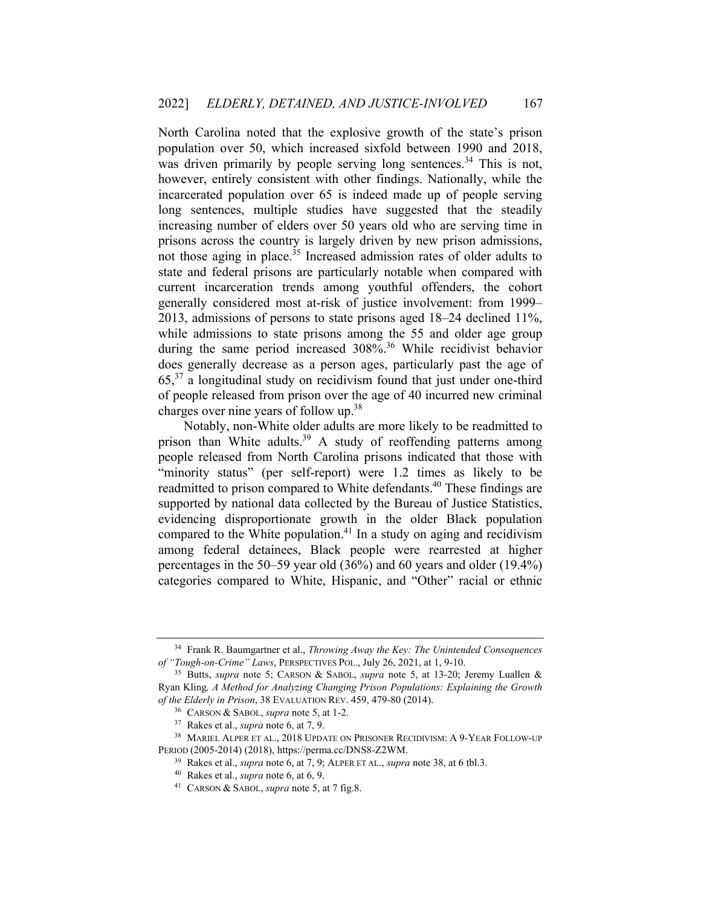North Carolina noted that the explosive growth of the state's prison population over 50, which increased sixfold between 1990 and 2018, was driven primarily by people serving long sentences.<sup>34</sup> This is not, however, entirely consistent with other findings. Nationally, while the incarcerated population over 65 is indeed made up of people serving long sentences, multiple studies have suggested that the steadily increasing number of elders over 50 years old who are serving time in prisons across the country is largely driven by new prison admissions, not those aging in place.<sup>35</sup> Increased admission rates of older adults to state and federal prisons are particularly notable when compared with current incarceration trends among youthful offenders, the cohort generally considered most at-risk of justice involvement: from 1999– 2013, admissions of persons to state prisons aged 18–24 declined 11%, while admissions to state prisons among the 55 and older age group during the same period increased 308%.<sup>36</sup> While recidivist behavior does generally decrease as a person ages, particularly past the age of  $65<sup>37</sup>$  a longitudinal study on recidivism found that just under one-third of people released from prison over the age of 40 incurred new criminal charges over nine years of follow up.38

Notably, non-White older adults are more likely to be readmitted to prison than White adults.<sup>39</sup> A study of reoffending patterns among people released from North Carolina prisons indicated that those with "minority status" (per self-report) were 1.2 times as likely to be readmitted to prison compared to White defendants.40 These findings are supported by national data collected by the Bureau of Justice Statistics, evidencing disproportionate growth in the older Black population compared to the White population.<sup>41</sup> In a study on aging and recidivism among federal detainees, Black people were rearrested at higher percentages in the 50–59 year old (36%) and 60 years and older (19.4%) categories compared to White, Hispanic, and "Other" racial or ethnic

<sup>34</sup> Frank R. Baumgartner et al., *Throwing Away the Key: The Unintended Consequences of "Tough-on-Crime" Laws*, PERSPECTIVES POL., July 26, 2021, at 1, 9-10. 35 Butts, *supra* note 5; CARSON & SABOL, *supra* note 5, at 13-20; Jeremy Luallen &

Ryan Kling*, A Method for Analyzing Changing Prison Populations: Explaining the Growth*  of the Elderly in Prison, 38 EVALUATION REV. 459, 479-80 (2014).<br><sup>36</sup> CARSON & SABOL, *supra* note 5, at 1-2.<br><sup>37</sup> Rakes et al., *supra* note 6, at 7, 9.<br><sup>38</sup> MARIEL ALPER ET AL., 2018 UPDATE ON PRISONER RECIDIVISM: A 9-Y

PERIOD (2005-2014) (2018), https://perma.cc/DNS8-Z2WM.<br><sup>39</sup> Rakes et al., *supra* note 6, at 7, 9; ALPER ET AL., *supra* note 38, at 6 tbl.3.<br><sup>40</sup> Rakes et al., *supra* note 6, at 6, 9.<br><sup>41</sup> CARSON & SABOL, *supra* note 5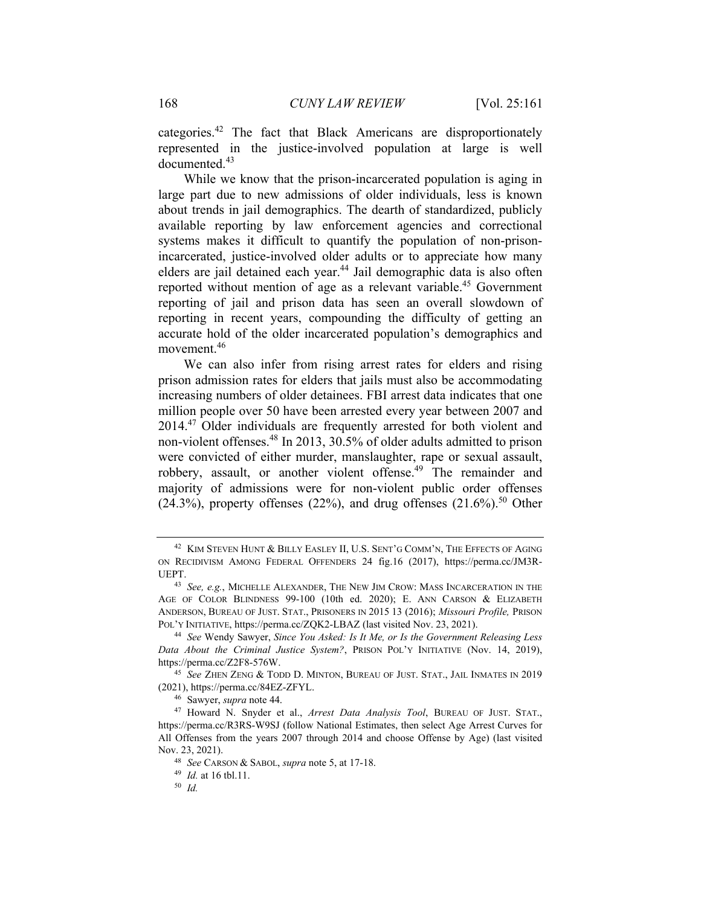categories.42 The fact that Black Americans are disproportionately represented in the justice-involved population at large is well documented.<sup>43</sup>

While we know that the prison-incarcerated population is aging in large part due to new admissions of older individuals, less is known about trends in jail demographics. The dearth of standardized, publicly available reporting by law enforcement agencies and correctional systems makes it difficult to quantify the population of non-prisonincarcerated, justice-involved older adults or to appreciate how many elders are jail detained each year.<sup>44</sup> Jail demographic data is also often reported without mention of age as a relevant variable.<sup>45</sup> Government reporting of jail and prison data has seen an overall slowdown of reporting in recent years, compounding the difficulty of getting an accurate hold of the older incarcerated population's demographics and movement.<sup>46</sup>

We can also infer from rising arrest rates for elders and rising prison admission rates for elders that jails must also be accommodating increasing numbers of older detainees. FBI arrest data indicates that one million people over 50 have been arrested every year between 2007 and 2014.47 Older individuals are frequently arrested for both violent and non-violent offenses.48 In 2013, 30.5% of older adults admitted to prison were convicted of either murder, manslaughter, rape or sexual assault, robbery, assault, or another violent offense.<sup>49</sup> The remainder and majority of admissions were for non-violent public order offenses  $(24.3\%)$ , property offenses  $(22\%)$ , and drug offenses  $(21.6\%)$ <sup>50</sup> Other

<sup>42</sup> KIM STEVEN HUNT & BILLY EASLEY II, U.S. SENT'G COMM'N, THE EFFECTS OF AGING ON RECIDIVISM AMONG FEDERAL OFFENDERS 24 fig.16 (2017), https://perma.cc/JM3R-UEPT. 43 *See, e.g.*, MICHELLE ALEXANDER, THE NEW JIM CROW: MASS INCARCERATION IN THE

AGE OF COLOR BLINDNESS 99-100 (10th ed. 2020); E. ANN CARSON & ELIZABETH ANDERSON, BUREAU OF JUST. STAT., PRISONERS IN 2015 13 (2016); *Missouri Profile,* PRISON POL'Y INITIATIVE, https://perma.cc/ZQK2-LBAZ (last visited Nov. 23, 2021). 44 *See* Wendy Sawyer, *Since You Asked: Is It Me, or Is the Government Releasing Less* 

*Data About the Criminal Justice System?*, PRISON POL'Y INITIATIVE (Nov. 14, 2019), https://perma.cc/Z2F8-576W. 45 *See* ZHEN ZENG & TODD D. MINTON, BUREAU OF JUST. STAT., JAIL INMATES IN 2019

<sup>(2021),</sup> https://perma.cc/84EZ-ZFYL. 46 Sawyer, *supra* note 44. 47 Howard N. Snyder et al., *Arrest Data Analysis Tool*, BUREAU OF JUST. STAT.,

https://perma.cc/R3RS-W9SJ (follow National Estimates, then select Age Arrest Curves for All Offenses from the years 2007 through 2014 and choose Offense by Age) (last visited Nov. 23, 2021). 48 *See* CARSON & SABOL, *supra* note 5, at 17-18. 49 *Id.* at 16 tbl.11.

<sup>50</sup> *Id.*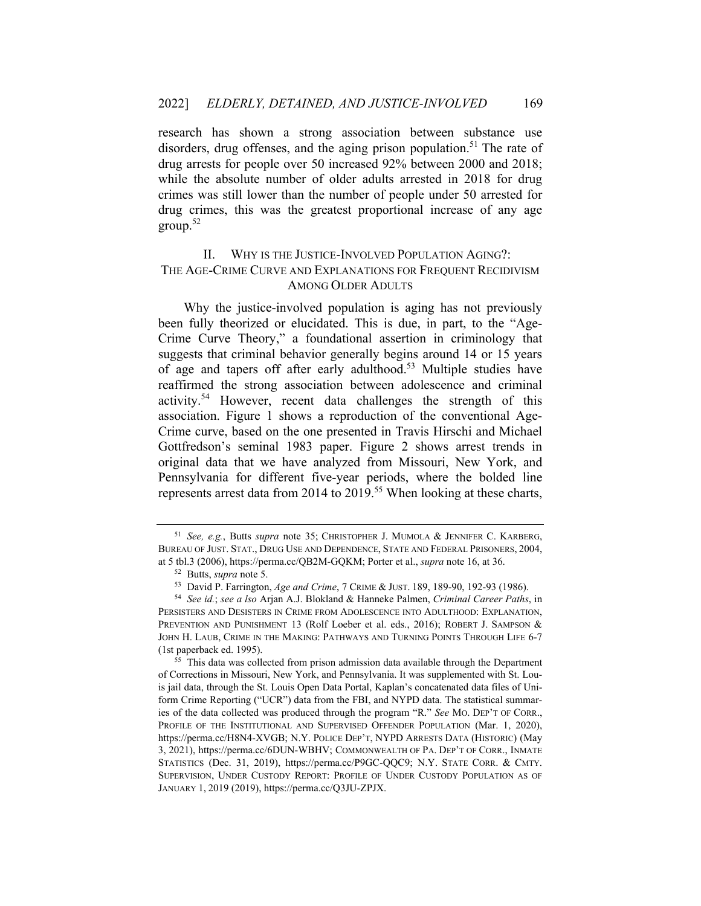research has shown a strong association between substance use disorders, drug offenses, and the aging prison population.<sup>51</sup> The rate of drug arrests for people over 50 increased 92% between 2000 and 2018; while the absolute number of older adults arrested in 2018 for drug crimes was still lower than the number of people under 50 arrested for drug crimes, this was the greatest proportional increase of any age  $\text{group}$ .<sup>52</sup>

# II. WHY IS THE JUSTICE-INVOLVED POPULATION AGING?: THE AGE-CRIME CURVE AND EXPLANATIONS FOR FREQUENT RECIDIVISM AMONG OLDER ADULTS

Why the justice-involved population is aging has not previously been fully theorized or elucidated. This is due, in part, to the "Age-Crime Curve Theory," a foundational assertion in criminology that suggests that criminal behavior generally begins around 14 or 15 years of age and tapers off after early adulthood.<sup>53</sup> Multiple studies have reaffirmed the strong association between adolescence and criminal activity.54 However, recent data challenges the strength of this association. Figure 1 shows a reproduction of the conventional Age-Crime curve, based on the one presented in Travis Hirschi and Michael Gottfredson's seminal 1983 paper. Figure 2 shows arrest trends in original data that we have analyzed from Missouri, New York, and Pennsylvania for different five-year periods, where the bolded line represents arrest data from 2014 to 2019.<sup>55</sup> When looking at these charts,

<sup>51</sup> *See, e.g.*, Butts *supra* note 35; CHRISTOPHER J. MUMOLA & JENNIFER C. KARBERG, BUREAU OF JUST. STAT., DRUG USE AND DEPENDENCE, STATE AND FEDERAL PRISONERS, 2004,

at 5 tbl.3 (2006), https://perma.cc/QB2M-GQKM; Porter et al., *supra* note 16, at 36.<br><sup>52</sup> Butts, *supra* note 5.<br><sup>53</sup> David P. Farrington, *Age and Crime*, 7 CRIME & JUST. 189, 189-90, 192-93 (1986).<br><sup>54</sup> See id.; see a

PERSISTERS AND DESISTERS IN CRIME FROM ADOLESCENCE INTO ADULTHOOD: EXPLANATION, PREVENTION AND PUNISHMENT 13 (Rolf Loeber et al. eds., 2016); ROBERT J. SAMPSON & JOHN H. LAUB, CRIME IN THE MAKING: PATHWAYS AND TURNING POINTS THROUGH LIFE 6-7 (1st paperback ed. 1995).  $55$  This data was collected from prison admission data available through the Department

of Corrections in Missouri, New York, and Pennsylvania. It was supplemented with St. Louis jail data, through the St. Louis Open Data Portal, Kaplan's concatenated data files of Uniform Crime Reporting ("UCR") data from the FBI, and NYPD data. The statistical summaries of the data collected was produced through the program "R." *See* MO. DEP'T OF CORR., PROFILE OF THE INSTITUTIONAL AND SUPERVISED OFFENDER POPULATION (Mar. 1, 2020), https://perma.cc/H8N4-XVGB; N.Y. POLICE DEP'T, NYPD ARRESTS DATA (HISTORIC) (May 3, 2021), https://perma.cc/6DUN-WBHV; COMMONWEALTH OF PA. DEP'T OF CORR., INMATE STATISTICS (Dec. 31, 2019), https://perma.cc/P9GC-QQC9; N.Y. STATE CORR. & CMTY. SUPERVISION, UNDER CUSTODY REPORT: PROFILE OF UNDER CUSTODY POPULATION AS OF JANUARY 1, 2019 (2019), https://perma.cc/Q3JU-ZPJX.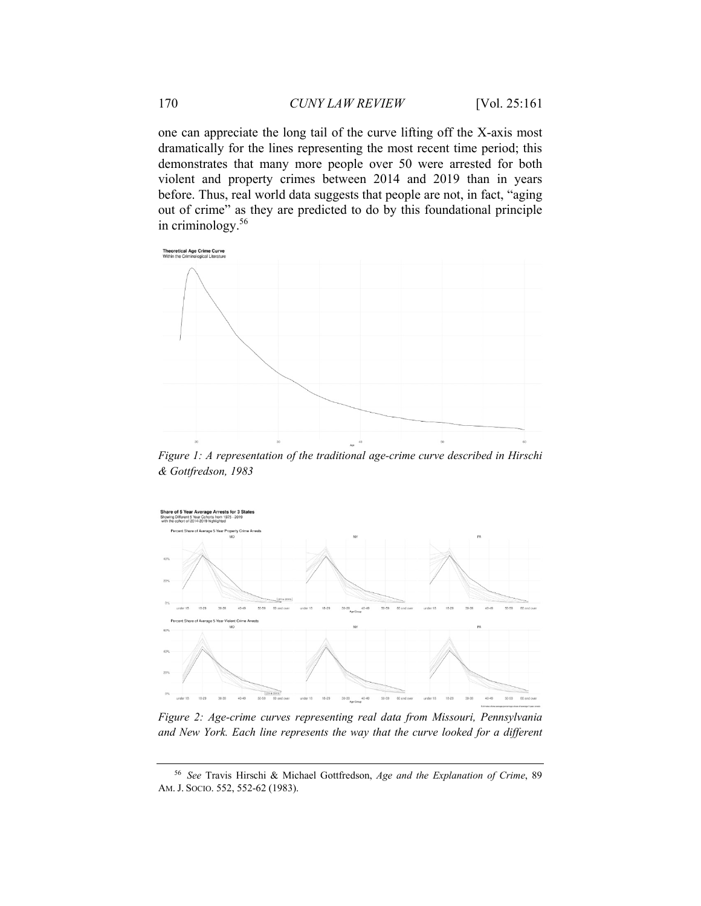one can appreciate the long tail of the curve lifting off the X-axis most dramatically for the lines representing the most recent time period; this demonstrates that many more people over 50 were arrested for both violent and property crimes between 2014 and 2019 than in years before. Thus, real world data suggests that people are not, in fact, "aging out of crime" as they are predicted to do by this foundational principle in criminology.56



*Figure 1: A representation of the traditional age-crime curve described in Hirschi & Gottfredson, 1983* 



*Figure 2: Age-crime curves representing real data from Missouri, Pennsylvania and New York. Each line represents the way that the curve looked for a different* 

<sup>56</sup> *See* Travis Hirschi & Michael Gottfredson, *Age and the Explanation of Crime*, 89 AM. J. SOCIO. 552, 552-62 (1983).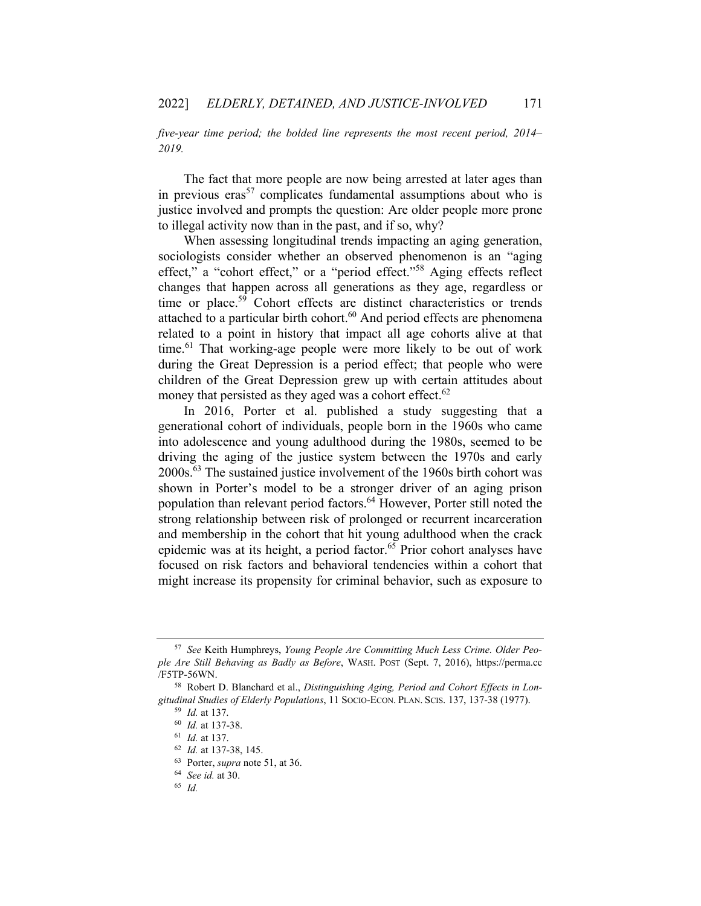*five-year time period; the bolded line represents the most recent period, 2014– 2019.* 

The fact that more people are now being arrested at later ages than in previous eras<sup>57</sup> complicates fundamental assumptions about who is justice involved and prompts the question: Are older people more prone to illegal activity now than in the past, and if so, why?

When assessing longitudinal trends impacting an aging generation, sociologists consider whether an observed phenomenon is an "aging effect," a "cohort effect," or a "period effect."58 Aging effects reflect changes that happen across all generations as they age, regardless or time or place.<sup>59</sup> Cohort effects are distinct characteristics or trends attached to a particular birth cohort.<sup>60</sup> And period effects are phenomena related to a point in history that impact all age cohorts alive at that time.<sup>61</sup> That working-age people were more likely to be out of work during the Great Depression is a period effect; that people who were children of the Great Depression grew up with certain attitudes about money that persisted as they aged was a cohort effect.<sup>62</sup>

In 2016, Porter et al. published a study suggesting that a generational cohort of individuals, people born in the 1960s who came into adolescence and young adulthood during the 1980s, seemed to be driving the aging of the justice system between the 1970s and early 2000s.63 The sustained justice involvement of the 1960s birth cohort was shown in Porter's model to be a stronger driver of an aging prison population than relevant period factors.<sup>64</sup> However, Porter still noted the strong relationship between risk of prolonged or recurrent incarceration and membership in the cohort that hit young adulthood when the crack epidemic was at its height, a period factor.<sup>65</sup> Prior cohort analyses have focused on risk factors and behavioral tendencies within a cohort that might increase its propensity for criminal behavior, such as exposure to

<sup>57</sup> *See* Keith Humphreys, *Young People Are Committing Much Less Crime. Older People Are Still Behaving as Badly as Before*, WASH. POST (Sept. 7, 2016), https://perma.cc /F5TP-56WN. 58 Robert D. Blanchard et al., *Distinguishing Aging, Period and Cohort Effects in Lon-*

*gitudinal Studies of Elderly Populations*, 11 SOCIO-ECON. PLAN. SCIS. 137, 137-38 (1977). 59 *Id.* at 137.

<sup>60</sup> *Id.* at 137-38. 61 *Id.* at 137.

<sup>62</sup> *Id.* at 137-38, 145. 63 Porter, *supra* note 51, at 36. 64 *See id.* at 30. 65 *Id.*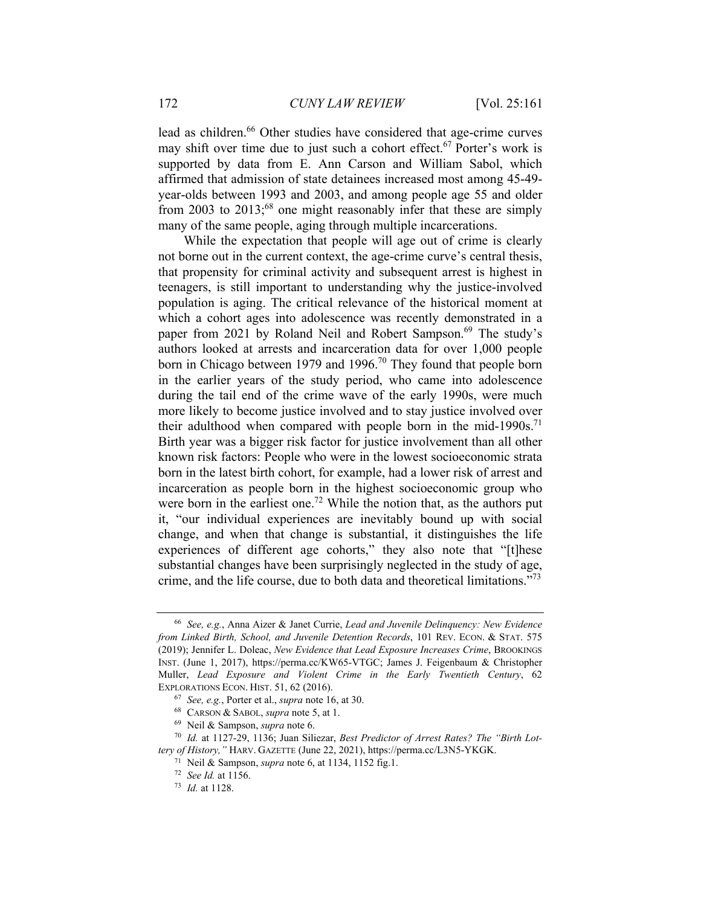lead as children.<sup>66</sup> Other studies have considered that age-crime curves may shift over time due to just such a cohort effect.<sup>67</sup> Porter's work is supported by data from E. Ann Carson and William Sabol, which affirmed that admission of state detainees increased most among 45-49 year-olds between 1993 and 2003, and among people age 55 and older from 2003 to  $2013$ ;<sup>68</sup> one might reasonably infer that these are simply many of the same people, aging through multiple incarcerations.

While the expectation that people will age out of crime is clearly not borne out in the current context, the age-crime curve's central thesis, that propensity for criminal activity and subsequent arrest is highest in teenagers, is still important to understanding why the justice-involved population is aging. The critical relevance of the historical moment at which a cohort ages into adolescence was recently demonstrated in a paper from 2021 by Roland Neil and Robert Sampson.<sup>69</sup> The study's authors looked at arrests and incarceration data for over 1,000 people born in Chicago between 1979 and 1996.<sup>70</sup> They found that people born in the earlier years of the study period, who came into adolescence during the tail end of the crime wave of the early 1990s, were much more likely to become justice involved and to stay justice involved over their adulthood when compared with people born in the mid-1990s.<sup>71</sup> Birth year was a bigger risk factor for justice involvement than all other known risk factors: People who were in the lowest socioeconomic strata born in the latest birth cohort, for example, had a lower risk of arrest and incarceration as people born in the highest socioeconomic group who were born in the earliest one.<sup>72</sup> While the notion that, as the authors put it, "our individual experiences are inevitably bound up with social change, and when that change is substantial, it distinguishes the life experiences of different age cohorts," they also note that "[t]hese substantial changes have been surprisingly neglected in the study of age, crime, and the life course, due to both data and theoretical limitations."73

<sup>66</sup> *See, e.g.*, Anna Aizer & Janet Currie, *Lead and Juvenile Delinquency: New Evidence from Linked Birth, School, and Juvenile Detention Records*, 101 REV. ECON. & STAT. 575 (2019); Jennifer L. Doleac, *New Evidence that Lead Exposure Increases Crime*, BROOKINGS INST. (June 1, 2017), https://perma.cc/KW65-VTGC; James J. Feigenbaum & Christopher Muller, *Lead Exposure and Violent Crime in the Early Twentieth Century*, 62 EXPLORATIONS ECON. HIST. 51, 62 (2016).<br>
<sup>67</sup> *See, e.g.*, Porter et al., *supra* note 16, at 30.<br>
<sup>68</sup> CARSON & SABOL, *supra* note 5, at 1.<br>
<sup>69</sup> Neil & Sampson, *supra* note 6.<br>
<sup>70</sup> Id. at 1127-29, 1136; Juan Siliezar

*tery of History,"* HARV. GAZETTE (June 22, 2021), https://perma.cc/L3N5-YKGK. 71 Neil & Sampson, *supra* note 6, at 1134, 1152 fig.1. 72 *See Id.* at 1156. 73 *Id.* at 1128.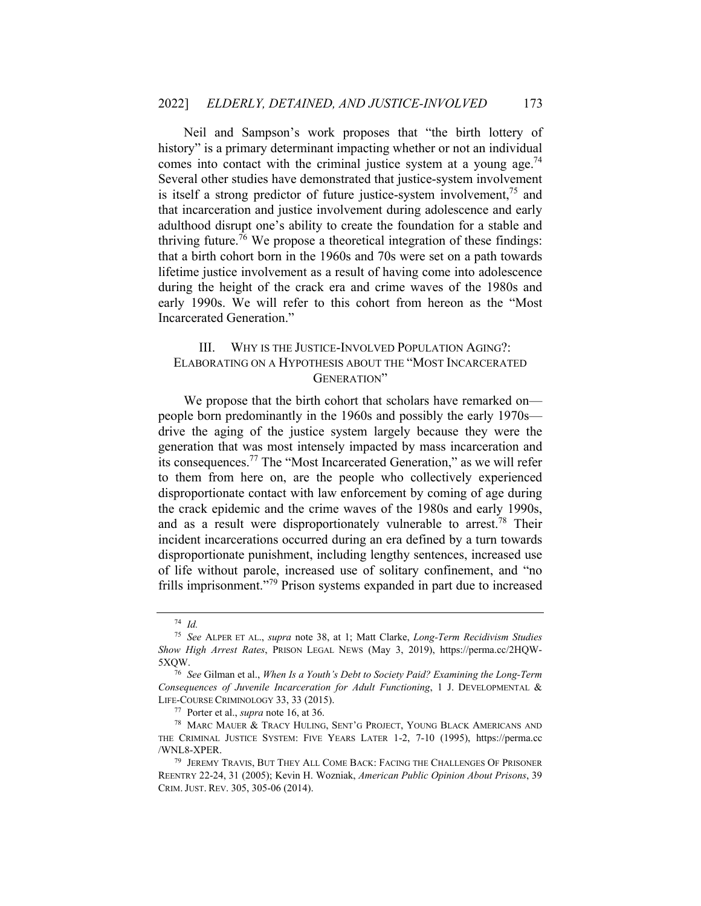Neil and Sampson's work proposes that "the birth lottery of history" is a primary determinant impacting whether or not an individual comes into contact with the criminal justice system at a young age.<sup>74</sup> Several other studies have demonstrated that justice-system involvement is itself a strong predictor of future justice-system involvement, $^{75}$  and that incarceration and justice involvement during adolescence and early adulthood disrupt one's ability to create the foundation for a stable and thriving future.<sup>76</sup> We propose a theoretical integration of these findings: that a birth cohort born in the 1960s and 70s were set on a path towards lifetime justice involvement as a result of having come into adolescence during the height of the crack era and crime waves of the 1980s and early 1990s. We will refer to this cohort from hereon as the "Most Incarcerated Generation."

# III. WHY IS THE JUSTICE-INVOLVED POPULATION AGING?: ELABORATING ON A HYPOTHESIS ABOUT THE "MOST INCARCERATED GENERATION"

We propose that the birth cohort that scholars have remarked on people born predominantly in the 1960s and possibly the early 1970s drive the aging of the justice system largely because they were the generation that was most intensely impacted by mass incarceration and its consequences.77 The "Most Incarcerated Generation," as we will refer to them from here on, are the people who collectively experienced disproportionate contact with law enforcement by coming of age during the crack epidemic and the crime waves of the 1980s and early 1990s, and as a result were disproportionately vulnerable to arrest.<sup>78</sup> Their incident incarcerations occurred during an era defined by a turn towards disproportionate punishment, including lengthy sentences, increased use of life without parole, increased use of solitary confinement, and "no frills imprisonment."79 Prison systems expanded in part due to increased

<sup>74</sup> *Id.* 

<sup>75</sup> *See* ALPER ET AL., *supra* note 38, at 1; Matt Clarke, *Long-Term Recidivism Studies Show High Arrest Rates*, PRISON LEGAL NEWS (May 3, 2019), https://perma.cc/2HQW-5XQW. 76 *See* Gilman et al., *When Is a Youth's Debt to Society Paid? Examining the Long-Term* 

*Consequences of Juvenile Incarceration for Adult Functioning*, 1 J. DEVELOPMENTAL & LIFE-COURSE CRIMINOLOGY 33, 33 (2015). 77 Porter et al., *supra* note 16, at 36. 78 MARC MAUER & TRACY HULING, SENT'G PROJECT, YOUNG BLACK AMERICANS AND

THE CRIMINAL JUSTICE SYSTEM: FIVE YEARS LATER 1-2, 7-10 (1995), https://perma.cc /WNL8-XPER. 79 JEREMY TRAVIS, BUT THEY ALL COME BACK: FACING THE CHALLENGES OF PRISONER

REENTRY 22-24, 31 (2005); Kevin H. Wozniak, *American Public Opinion About Prisons*, 39 CRIM. JUST. REV. 305, 305-06 (2014).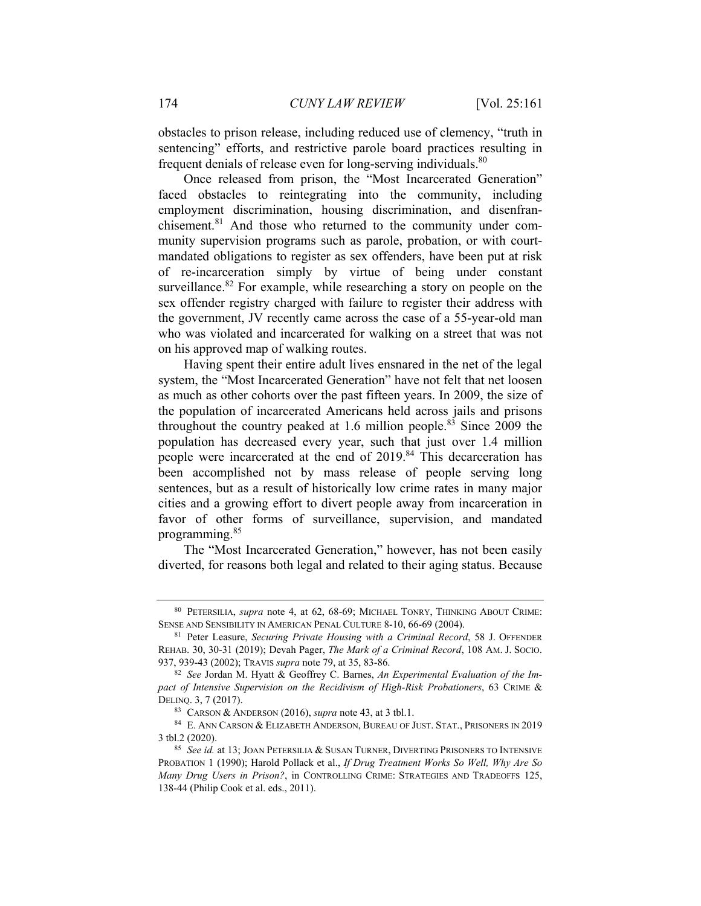obstacles to prison release, including reduced use of clemency, "truth in sentencing" efforts, and restrictive parole board practices resulting in frequent denials of release even for long-serving individuals.<sup>80</sup>

Once released from prison, the "Most Incarcerated Generation" faced obstacles to reintegrating into the community, including employment discrimination, housing discrimination, and disenfranchisement.<sup>81</sup> And those who returned to the community under community supervision programs such as parole, probation, or with courtmandated obligations to register as sex offenders, have been put at risk of re-incarceration simply by virtue of being under constant surveillance. $82$  For example, while researching a story on people on the sex offender registry charged with failure to register their address with the government, JV recently came across the case of a 55-year-old man who was violated and incarcerated for walking on a street that was not on his approved map of walking routes.

Having spent their entire adult lives ensnared in the net of the legal system, the "Most Incarcerated Generation" have not felt that net loosen as much as other cohorts over the past fifteen years. In 2009, the size of the population of incarcerated Americans held across jails and prisons throughout the country peaked at 1.6 million people.<sup>83</sup> Since 2009 the population has decreased every year, such that just over 1.4 million people were incarcerated at the end of 2019.<sup>84</sup> This decarceration has been accomplished not by mass release of people serving long sentences, but as a result of historically low crime rates in many major cities and a growing effort to divert people away from incarceration in favor of other forms of surveillance, supervision, and mandated programming.85

The "Most Incarcerated Generation," however, has not been easily diverted, for reasons both legal and related to their aging status. Because

<sup>80</sup> PETERSILIA, *supra* note 4, at 62, 68-69; MICHAEL TONRY, THINKING ABOUT CRIME: SENSE AND SENSIBILITY IN AMERICAN PENAL CULTURE 8-10, 66-69 (2004). 81 Peter Leasure, *Securing Private Housing with a Criminal Record*, 58 J. OFFENDER

REHAB. 30, 30-31 (2019); Devah Pager, *The Mark of a Criminal Record*, 108 AM. J. SOCIO. 937, 939-43 (2002); TRAVIS *supra* note 79, at 35, 83-86.<br><sup>82</sup> See Jordan M. Hyatt & Geoffrey C. Barnes, *An Experimental Evaluation of the Im-*

*pact of Intensive Supervision on the Recidivism of High-Risk Probationers*, 63 CRIME & DELINQ. 3, 7 (2017).<br><sup>83</sup> CARSON & ANDERSON (2016), *supra* note 43, at 3 tbl.1.<br><sup>84</sup> E. ANN CARSON & ELIZABETH ANDERSON, BUREAU OF JUST. STAT., PRISONERS IN 2019

<sup>3</sup> tbl.2 (2020). 85 *See id.* at 13; JOAN PETERSILIA & SUSAN TURNER, DIVERTING PRISONERS TO INTENSIVE

PROBATION 1 (1990); Harold Pollack et al., *If Drug Treatment Works So Well, Why Are So Many Drug Users in Prison?*, in CONTROLLING CRIME: STRATEGIES AND TRADEOFFS 125, 138-44 (Philip Cook et al. eds., 2011).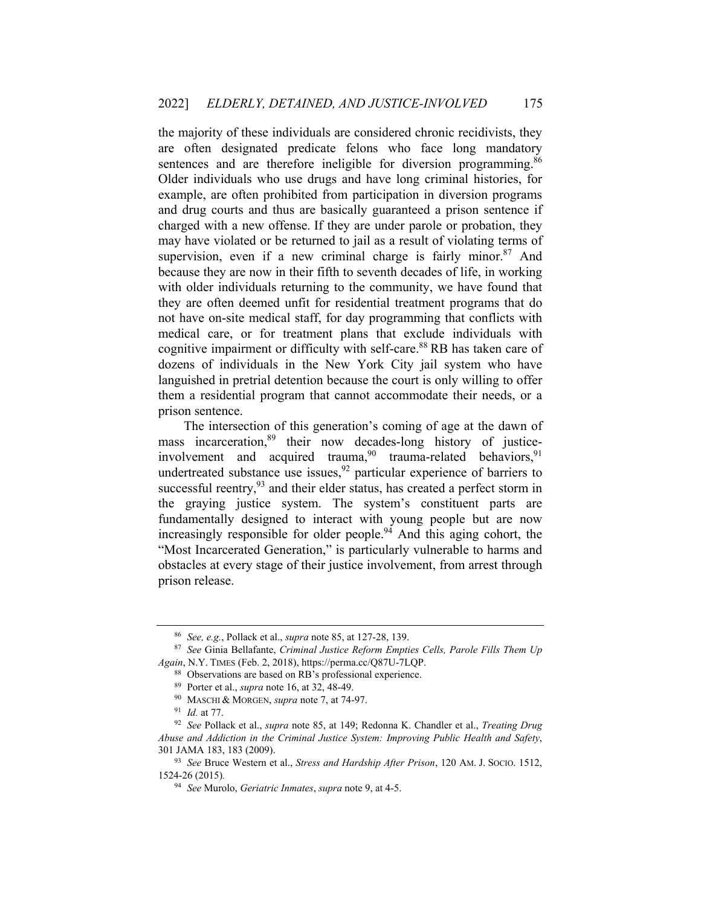the majority of these individuals are considered chronic recidivists, they are often designated predicate felons who face long mandatory sentences and are therefore ineligible for diversion programming.<sup>86</sup> Older individuals who use drugs and have long criminal histories, for example, are often prohibited from participation in diversion programs and drug courts and thus are basically guaranteed a prison sentence if charged with a new offense. If they are under parole or probation, they may have violated or be returned to jail as a result of violating terms of supervision, even if a new criminal charge is fairly minor.<sup>87</sup> And because they are now in their fifth to seventh decades of life, in working with older individuals returning to the community, we have found that they are often deemed unfit for residential treatment programs that do not have on-site medical staff, for day programming that conflicts with medical care, or for treatment plans that exclude individuals with cognitive impairment or difficulty with self-care.<sup>88</sup> RB has taken care of dozens of individuals in the New York City jail system who have languished in pretrial detention because the court is only willing to offer them a residential program that cannot accommodate their needs, or a prison sentence.

The intersection of this generation's coming of age at the dawn of mass incarceration,<sup>89</sup> their now decades-long history of justiceinvolvement and acquired trauma,  $90$  trauma-related behaviors,  $91$ undertreated substance use issues,  $92$  particular experience of barriers to successful reentry,  $93$  and their elder status, has created a perfect storm in the graying justice system. The system's constituent parts are fundamentally designed to interact with young people but are now increasingly responsible for older people.<sup>94</sup> And this aging cohort, the "Most Incarcerated Generation," is particularly vulnerable to harms and obstacles at every stage of their justice involvement, from arrest through prison release.

<sup>86</sup> *See, e.g.*, Pollack et al., *supra* note 85, at 127-28, 139. 87 *See* Ginia Bellafante, *Criminal Justice Reform Empties Cells, Parole Fills Them Up Again*, N.Y. TIMES (Feb. 2, 2018), https://perma.cc/Q87U-7LQP.<br><sup>88</sup> Observations are based on RB's professional experience.<br><sup>89</sup> Porter et al., *supra* note 16, at 32, 48-49.<br><sup>90</sup> MASCHI & MORGEN, *supra* note 7, at 74-9

*Abuse and Addiction in the Criminal Justice System: Improving Public Health and Safety*, 301 JAMA 183, 183 (2009). 93 *See* Bruce Western et al., *Stress and Hardship After Prison*, 120 AM. J. SOCIO. 1512,

<sup>1524-26 (2015)</sup>*.*

<sup>94</sup> *See* Murolo, *Geriatric Inmates*, *supra* note 9, at 4-5.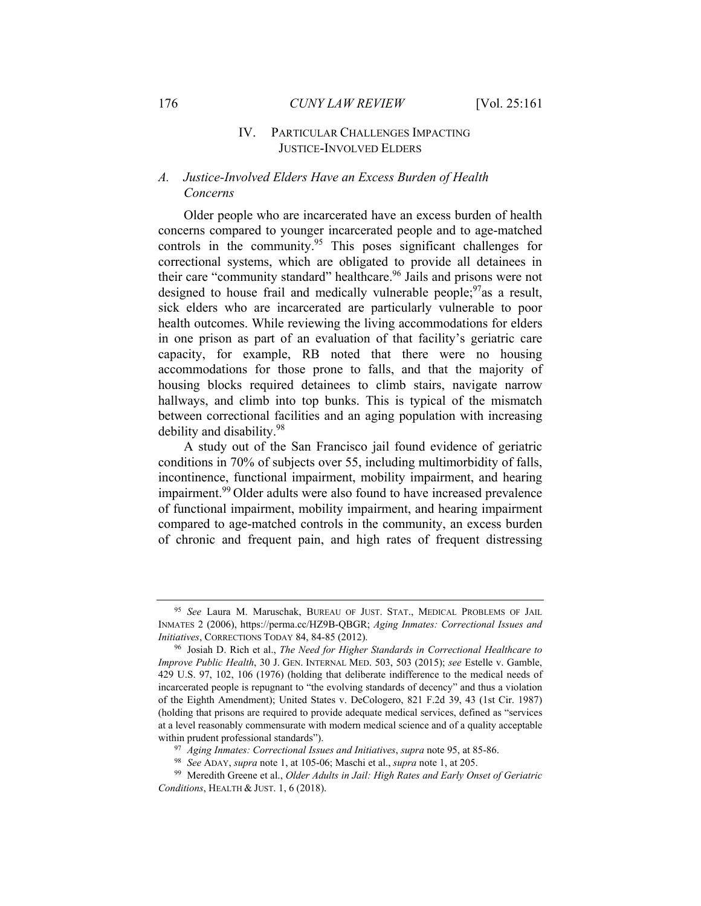#### IV. PARTICULAR CHALLENGES IMPACTING JUSTICE-INVOLVED ELDERS

# *A. Justice-Involved Elders Have an Excess Burden of Health Concerns*

Older people who are incarcerated have an excess burden of health concerns compared to younger incarcerated people and to age-matched controls in the community.<sup>95</sup> This poses significant challenges for correctional systems, which are obligated to provide all detainees in their care "community standard" healthcare.<sup>96</sup> Jails and prisons were not designed to house frail and medically vulnerable people;  $\frac{97}{3}$  as a result, sick elders who are incarcerated are particularly vulnerable to poor health outcomes. While reviewing the living accommodations for elders in one prison as part of an evaluation of that facility's geriatric care capacity, for example, RB noted that there were no housing accommodations for those prone to falls, and that the majority of housing blocks required detainees to climb stairs, navigate narrow hallways, and climb into top bunks. This is typical of the mismatch between correctional facilities and an aging population with increasing debility and disability.98

A study out of the San Francisco jail found evidence of geriatric conditions in 70% of subjects over 55, including multimorbidity of falls, incontinence, functional impairment, mobility impairment, and hearing impairment.<sup>99</sup> Older adults were also found to have increased prevalence of functional impairment, mobility impairment, and hearing impairment compared to age-matched controls in the community, an excess burden of chronic and frequent pain, and high rates of frequent distressing

<sup>95</sup> *See* Laura M. Maruschak, BUREAU OF JUST. STAT., MEDICAL PROBLEMS OF JAIL INMATES 2 (2006), https://perma.cc/HZ9B-QBGR; *Aging Inmates: Correctional Issues and Initiatives*, CORRECTIONS TODAY 84, 84-85 (2012).<br><sup>96</sup> Josiah D. Rich et al., *The Need for Higher Standards in Correctional Healthcare to* 

*Improve Public Health*, 30 J. GEN. INTERNAL MED. 503, 503 (2015); *see* Estelle v. Gamble, 429 U.S. 97, 102, 106 (1976) (holding that deliberate indifference to the medical needs of incarcerated people is repugnant to "the evolving standards of decency" and thus a violation of the Eighth Amendment); United States v. DeCologero, 821 F.2d 39, 43 (1st Cir. 1987) (holding that prisons are required to provide adequate medical services, defined as "services at a level reasonably commensurate with modern medical science and of a quality acceptable within prudent professional standards").<br><sup>97</sup> Aging Inmates: Correctional Issues and Initiatives, supra note 95, at 85-86.<br><sup>98</sup> See ADAY, supra note 1, at 105-06; Maschi et al., *supra* note 1, at 205.<br><sup>99</sup> Meredith Greene

*Conditions*, HEALTH & JUST. 1, 6 (2018).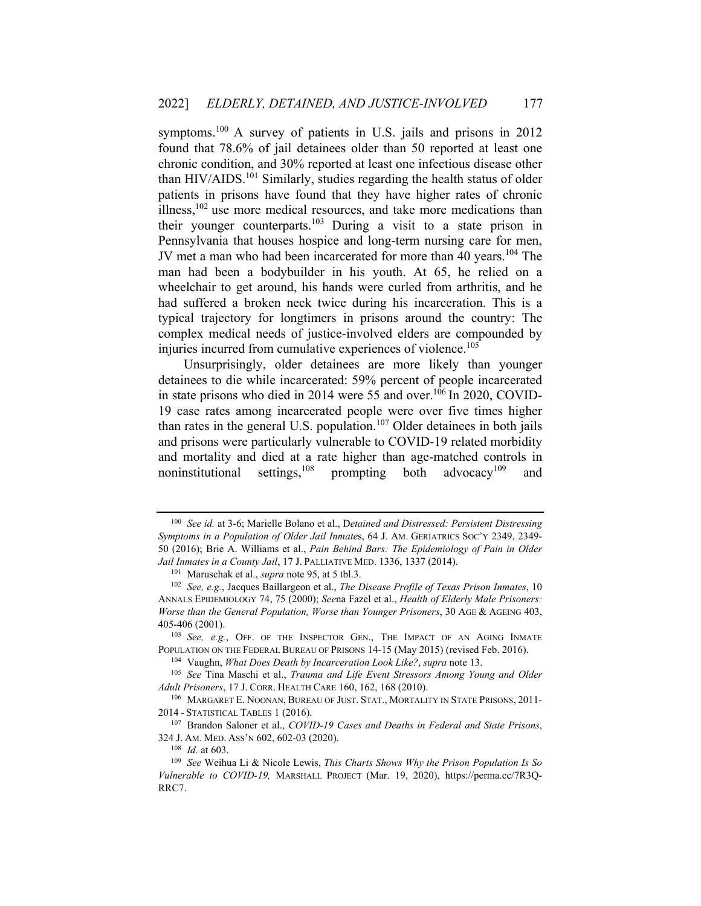symptoms.<sup>100</sup> A survey of patients in U.S. jails and prisons in 2012 found that 78.6% of jail detainees older than 50 reported at least one chronic condition, and 30% reported at least one infectious disease other than HIV/AIDS.<sup>101</sup> Similarly, studies regarding the health status of older patients in prisons have found that they have higher rates of chronic illness, $102$  use more medical resources, and take more medications than their younger counterparts.<sup>103</sup> During a visit to a state prison in Pennsylvania that houses hospice and long-term nursing care for men, JV met a man who had been incarcerated for more than 40 years.<sup>104</sup> The man had been a bodybuilder in his youth. At 65, he relied on a wheelchair to get around, his hands were curled from arthritis, and he had suffered a broken neck twice during his incarceration. This is a typical trajectory for longtimers in prisons around the country: The complex medical needs of justice-involved elders are compounded by injuries incurred from cumulative experiences of violence.<sup>105</sup>

Unsurprisingly, older detainees are more likely than younger detainees to die while incarcerated: 59% percent of people incarcerated in state prisons who died in 2014 were 55 and over.<sup>106</sup> In 2020, COVID-19 case rates among incarcerated people were over five times higher than rates in the general U.S. population.<sup>107</sup> Older detainees in both jails and prisons were particularly vulnerable to COVID-19 related morbidity and mortality and died at a rate higher than age-matched controls in noninstitutional settings,<sup>108</sup> prompting both advocacy<sup>109</sup> and

*Adult Prisoners*, 17 J. CORR. HEALTH CARE 160, 162, 168 (2010).<br><sup>106</sup> MARGARET E. NOONAN, BUREAU OF JUST. STAT., MORTALITY IN STATE PRISONS, 2011-

<sup>100</sup> *See id.* at 3-6; Marielle Bolano et al., D*etained and Distressed: Persistent Distressing Symptoms in a Population of Older Jail Inmate*s, 64 J. AM. GERIATRICS SOC'Y 2349, 2349- 50 (2016); Brie A. Williams et al., *Pain Behind Bars: The Epidemiology of Pain in Older*  Jail Inmates in a County Jail, 17 J. PALLIATIVE MED. 1336, 1337 (2014).<br><sup>101</sup> Maruschak et al., *supra* note 95, at 5 tbl.3.<br><sup>102</sup> See, e.g., Jacques Baillargeon et al., *The Disease Profile of Texas Prison Inmates*, 10

ANNALS EPIDEMIOLOGY 74, 75 (2000); *See*na Fazel et al., *Health of Elderly Male Prisoners: Worse than the General Population, Worse than Younger Prisoners*, 30 AGE & AGEING 403, 405-406 (2001). 103 *See, e.g.*, OFF. OF THE INSPECTOR GEN., THE IMPACT OF AN AGING INMATE

POPULATION ON THE FEDERAL BUREAU OF PRISONS 14-15 (May 2015) (revised Feb. 2016).<br><sup>104</sup> Vaughn, *What Does Death by Incarceration Look Like?*, *supra* note 13.<br><sup>105</sup> *See* Tina Maschi et al., *Trauma and Life Event Stresso* 

<sup>2014</sup> - STATISTICAL TABLES 1 (2016). 107 Brandon Saloner et al., *COVID-19 Cases and Deaths in Federal and State Prisons*,

<sup>324</sup> J. AM. MED. ASS'N 602, 602-03 (2020). 108 *Id.* at 603. 109 *See* Weihua Li & Nicole Lewis, *This Charts Shows Why the Prison Population Is So* 

*Vulnerable to COVID-19,* MARSHALL PROJECT (Mar. 19, 2020), https://perma.cc/7R3Q-RRC7.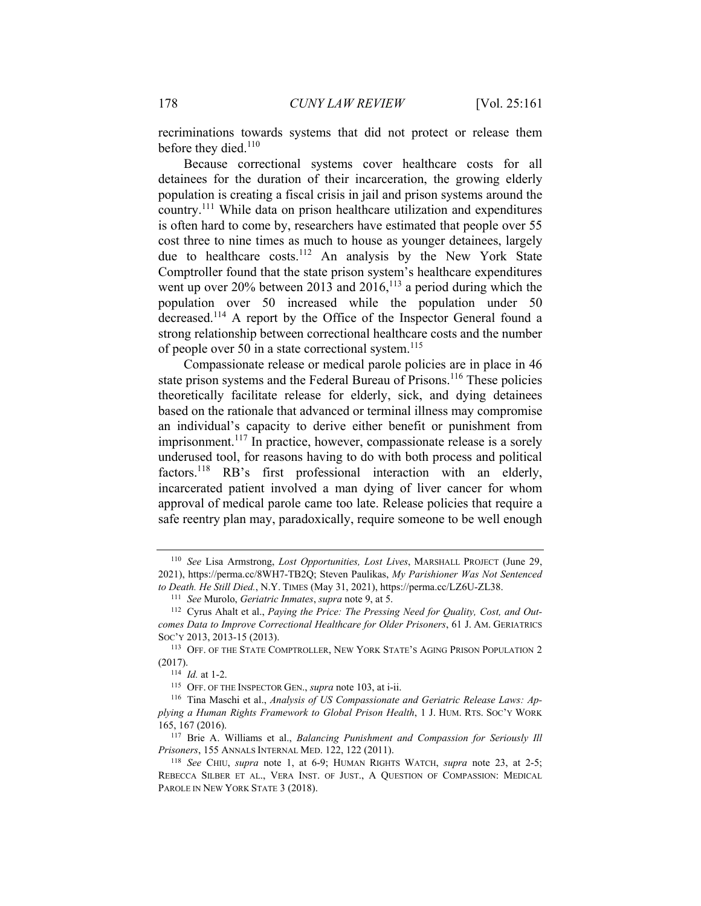recriminations towards systems that did not protect or release them before they died. $110$ 

Because correctional systems cover healthcare costs for all detainees for the duration of their incarceration, the growing elderly population is creating a fiscal crisis in jail and prison systems around the country.111 While data on prison healthcare utilization and expenditures is often hard to come by, researchers have estimated that people over 55 cost three to nine times as much to house as younger detainees, largely due to healthcare costs.<sup>112</sup> An analysis by the New York State Comptroller found that the state prison system's healthcare expenditures went up over 20% between 2013 and  $2016$ ,<sup>113</sup> a period during which the population over 50 increased while the population under 50 decreased.114 A report by the Office of the Inspector General found a strong relationship between correctional healthcare costs and the number of people over 50 in a state correctional system.<sup>115</sup>

Compassionate release or medical parole policies are in place in 46 state prison systems and the Federal Bureau of Prisons.<sup>116</sup> These policies theoretically facilitate release for elderly, sick, and dying detainees based on the rationale that advanced or terminal illness may compromise an individual's capacity to derive either benefit or punishment from imprisonment.<sup>117</sup> In practice, however, compassionate release is a sorely underused tool, for reasons having to do with both process and political factors.<sup>118</sup> RB's first professional interaction with an elderly, incarcerated patient involved a man dying of liver cancer for whom approval of medical parole came too late. Release policies that require a safe reentry plan may, paradoxically, require someone to be well enough

<sup>110</sup> *See* Lisa Armstrong, *Lost Opportunities, Lost Lives*, MARSHALL PROJECT (June 29, 2021), https://perma.cc/8WH7-TB2Q; Steven Paulikas, *My Parishioner Was Not Sentenced*  to Death. He Still Died., N.Y. TIMES (May 31, 2021), https://perma.cc/LZ6U-ZL38.<br><sup>111</sup> See Murolo, *Geriatric Inmates, supra* note 9, at 5.<br><sup>112</sup> Cyrus Ahalt et al., *Paying the Price: The Pressing Need for Ouality, Cost,* 

*comes Data to Improve Correctional Healthcare for Older Prisoners*, 61 J. AM. GERIATRICS Soc'y 2013, 2013-15 (2013). 113 OFF. OF THE STATE COMPTROLLER, NEW YORK STATE'S AGING PRISON POPULATION 2

<sup>(2017).&</sup>lt;br><sup>114</sup> *Id.* at 1-2.<br><sup>115</sup> OFF. OF THE INSPECTOR GEN., *supra* note 103, at i-ii.

<sup>116</sup> Tina Maschi et al., *Analysis of US Compassionate and Geriatric Release Laws: Applying a Human Rights Framework to Global Prison Health*, 1 J. HUM. RTS. SOC'Y WORK 165, 167 (2016). 117 Brie A. Williams et al., *Balancing Punishment and Compassion for Seriously Ill* 

*Prisoners*, 155 ANNALS INTERNAL MED. 122, 122 (2011).<br><sup>118</sup> *See* CHIU, *supra* note 1, at 6-9; HUMAN RIGHTS WATCH, *supra* note 23, at 2-5;

REBECCA SILBER ET AL., VERA INST. OF JUST., A QUESTION OF COMPASSION: MEDICAL PAROLE IN NEW YORK STATE 3 (2018).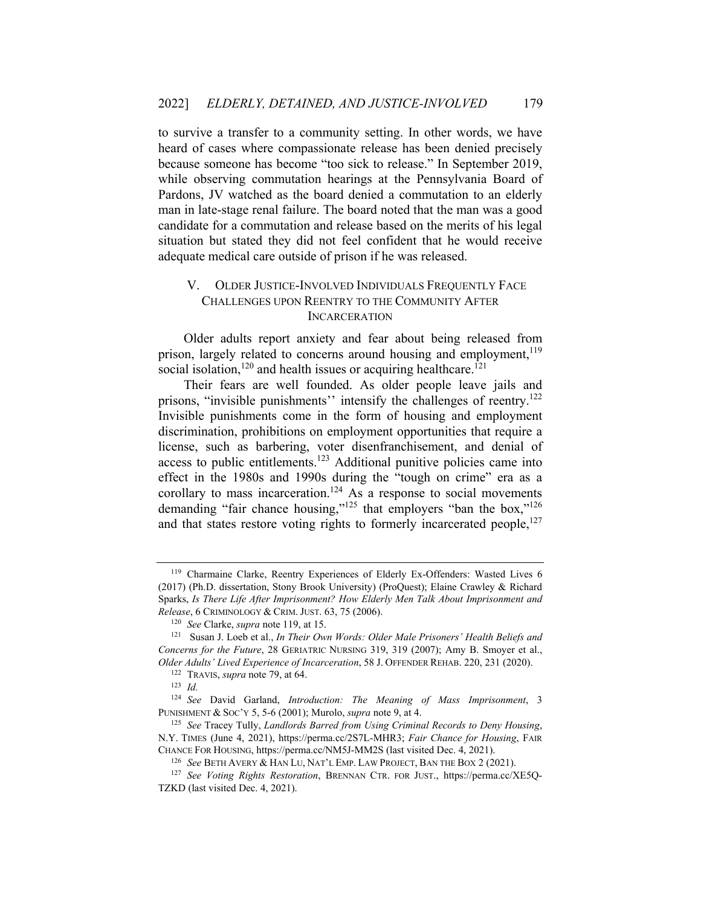to survive a transfer to a community setting. In other words, we have heard of cases where compassionate release has been denied precisely because someone has become "too sick to release." In September 2019, while observing commutation hearings at the Pennsylvania Board of Pardons, JV watched as the board denied a commutation to an elderly man in late-stage renal failure. The board noted that the man was a good candidate for a commutation and release based on the merits of his legal situation but stated they did not feel confident that he would receive adequate medical care outside of prison if he was released.

## V. OLDER JUSTICE-INVOLVED INDIVIDUALS FREQUENTLY FACE CHALLENGES UPON REENTRY TO THE COMMUNITY AFTER INCARCERATION

Older adults report anxiety and fear about being released from prison, largely related to concerns around housing and employment,  $119$ social isolation,<sup>120</sup> and health issues or acquiring healthcare.<sup>121</sup>

Their fears are well founded. As older people leave jails and prisons, "invisible punishments" intensify the challenges of reentry.<sup>122</sup> Invisible punishments come in the form of housing and employment discrimination, prohibitions on employment opportunities that require a license, such as barbering, voter disenfranchisement, and denial of access to public entitlements.<sup>123</sup> Additional punitive policies came into effect in the 1980s and 1990s during the "tough on crime" era as a corollary to mass incarceration.<sup>124</sup> As a response to social movements demanding "fair chance housing,"<sup>125</sup> that employers "ban the box,"<sup>126</sup> and that states restore voting rights to formerly incarcerated people, $^{127}$ 

<sup>119</sup> Charmaine Clarke, Reentry Experiences of Elderly Ex-Offenders: Wasted Lives 6 (2017) (Ph.D. dissertation, Stony Brook University) (ProQuest); Elaine Crawley & Richard Sparks, *Is There Life After Imprisonment? How Elderly Men Talk About Imprisonment and Release*, 6 CRIMINOLOGY & CRIM. JUST. 63, 75 (2006).<br><sup>120</sup> *See* Clarke, *supra* note 119, at 15.<br><sup>121</sup> Susan J. Loeb et al., *In Their Own Words: Older Male Prisoners' Health Beliefs and* 

*Concerns for the Future*, 28 GERIATRIC NURSING 319, 319 (2007); Amy B. Smoyer et al., *Older Adults' Lived Experience of Incarceration*, 58 J. OFFENDER REHAB. 220, 231 (2020).<br><sup>122</sup> TRAVIS, *supra* note 79, at 64. 123 *Id* 

<sup>124</sup> *See* David Garland, *Introduction: The Meaning of Mass Imprisonment*, 3 PUNISHMENT & SOC'Y 5, 5-6 (2001); Murolo, *supra* note 9, at 4. 125 *See* Tracey Tully, *Landlords Barred from Using Criminal Records to Deny Housing*,

N.Y. TIMES (June 4, 2021), https://perma.cc/2S7L-MHR3; *Fair Chance for Housing*, FAIR CHANCE FOR HOUSING, https://perma.cc/NM5J-MM2S (last visited Dec. 4, 2021).

<sup>126</sup> *See* BETH AVERY & HAN LU, NAT'L EMP. LAW PROJECT, BAN THE BOX 2 (2021).

<sup>127</sup> *See Voting Rights Restoration*, BRENNAN CTR. FOR JUST., https://perma.cc/XE5Q-TZKD (last visited Dec. 4, 2021).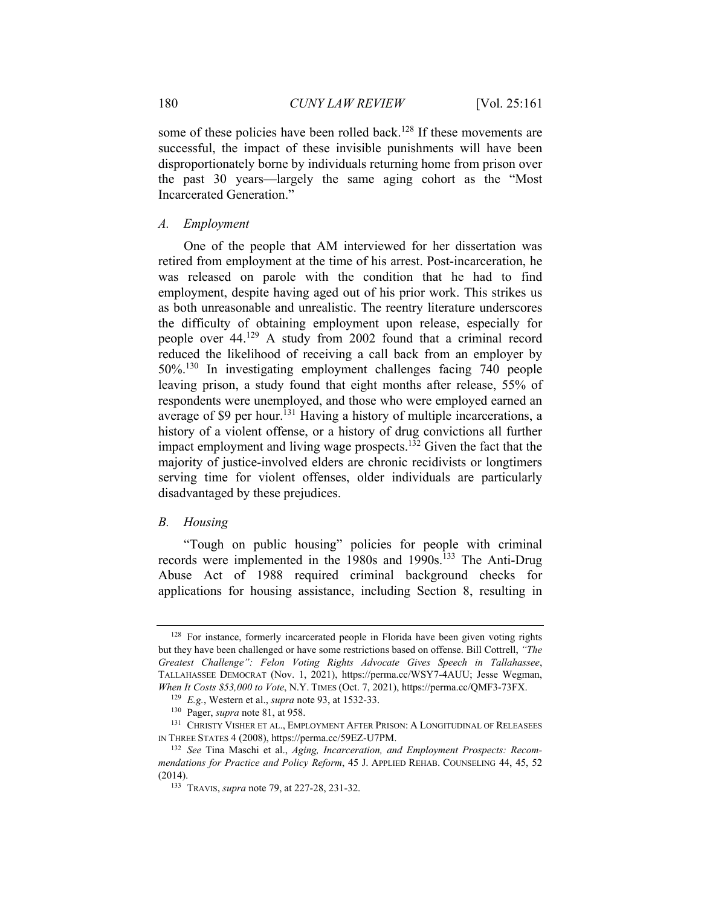some of these policies have been rolled back.<sup>128</sup> If these movements are successful, the impact of these invisible punishments will have been disproportionately borne by individuals returning home from prison over the past 30 years—largely the same aging cohort as the "Most Incarcerated Generation."

#### *A. Employment*

One of the people that AM interviewed for her dissertation was retired from employment at the time of his arrest. Post-incarceration, he was released on parole with the condition that he had to find employment, despite having aged out of his prior work. This strikes us as both unreasonable and unrealistic. The reentry literature underscores the difficulty of obtaining employment upon release, especially for people over 44.129 A study from 2002 found that a criminal record reduced the likelihood of receiving a call back from an employer by 50%.130 In investigating employment challenges facing 740 people leaving prison, a study found that eight months after release, 55% of respondents were unemployed, and those who were employed earned an average of \$9 per hour.<sup>131</sup> Having a history of multiple incarcerations, a history of a violent offense, or a history of drug convictions all further impact employment and living wage prospects.<sup>132</sup> Given the fact that the majority of justice-involved elders are chronic recidivists or longtimers serving time for violent offenses, older individuals are particularly disadvantaged by these prejudices.

#### *B. Housing*

"Tough on public housing" policies for people with criminal records were implemented in the 1980s and 1990s.<sup>133</sup> The Anti-Drug Abuse Act of 1988 required criminal background checks for applications for housing assistance, including Section 8, resulting in

<sup>&</sup>lt;sup>128</sup> For instance, formerly incarcerated people in Florida have been given voting rights but they have been challenged or have some restrictions based on offense. Bill Cottrell, *"The Greatest Challenge": Felon Voting Rights Advocate Gives Speech in Tallahassee*, TALLAHASSEE DEMOCRAT (Nov. 1, 2021), https://perma.cc/WSY7-4AUU; Jesse Wegman, When It Costs \$53,000 to *Vote*, N.Y. TIMES (Oct. 7, 2021), https://perma.cc/QMF3-73FX.<br><sup>129</sup> E.g., Western et al., *supra* note 93, at 1532-33.<br><sup>130</sup> Pager, *supra* note 81, at 958.<br><sup>131</sup> CHRISTY VISHER ET AL., EMPLOYMEN

IN THREE STATES 4 (2008), https://perma.cc/59EZ-U7PM. 132 *See* Tina Maschi et al., *Aging, Incarceration, and Employment Prospects: Recom-*

*mendations for Practice and Policy Reform*, 45 J. APPLIED REHAB. COUNSELING 44, 45, 52 (2014). 133 TRAVIS, *supra* note 79, at 227-28, 231-32.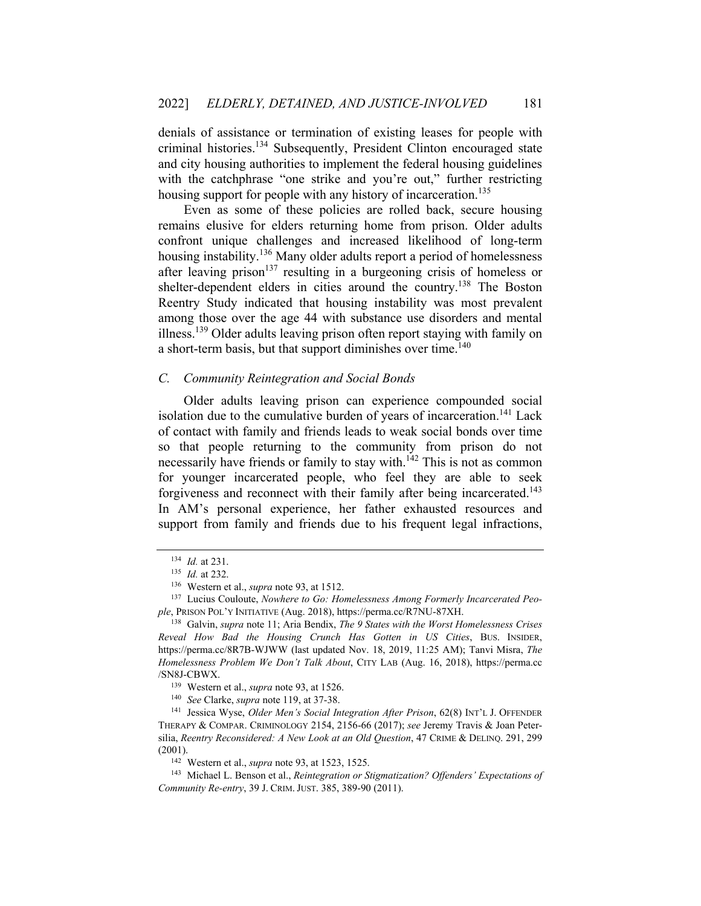denials of assistance or termination of existing leases for people with criminal histories.134 Subsequently, President Clinton encouraged state and city housing authorities to implement the federal housing guidelines with the catchphrase "one strike and you're out," further restricting housing support for people with any history of incarceration.<sup>135</sup>

Even as some of these policies are rolled back, secure housing remains elusive for elders returning home from prison. Older adults confront unique challenges and increased likelihood of long-term housing instability.<sup>136</sup> Many older adults report a period of homelessness after leaving prison<sup>137</sup> resulting in a burgeoning crisis of homeless or shelter-dependent elders in cities around the country.<sup>138</sup> The Boston Reentry Study indicated that housing instability was most prevalent among those over the age 44 with substance use disorders and mental illness.<sup>139</sup> Older adults leaving prison often report staying with family on a short-term basis, but that support diminishes over time. $140$ 

#### *C. Community Reintegration and Social Bonds*

Older adults leaving prison can experience compounded social isolation due to the cumulative burden of years of incarceration.<sup>141</sup> Lack of contact with family and friends leads to weak social bonds over time so that people returning to the community from prison do not necessarily have friends or family to stay with.<sup>142</sup> This is not as common for younger incarcerated people, who feel they are able to seek forgiveness and reconnect with their family after being incarcerated.<sup>143</sup> In AM's personal experience, her father exhausted resources and support from family and friends due to his frequent legal infractions,

<sup>&</sup>lt;sup>134</sup> *Id.* at 231.<br><sup>135</sup> *Id.* at 232.<br><sup>136</sup> Western et al., *supra* note 93, at 1512.<br><sup>137</sup> Lucius Couloute, *Nowhere to Go: Homelessness Among Formerly Incarcerated People*, PRISON POL'Y INITIATIVE (Aug. 2018), https://perma.cc/R7NU-87XH. 138 Galvin, *supra* note 11; Aria Bendix, *The 9 States with the Worst Homelessness Crises* 

*Reveal How Bad the Housing Crunch Has Gotten in US Cities*, BUS. INSIDER, https://perma.cc/8R7B-WJWW (last updated Nov. 18, 2019, 11:25 AM); Tanvi Misra, *The Homelessness Problem We Don't Talk About*, CITY LAB (Aug. 16, 2018), https://perma.cc /SN8J-CBWX. 139 Western et al., *supra* note 93, at 1526. 140 *See* Clarke, *supra* note 119, at 37-38. 141 Jessica Wyse, *Older Men's Social Integration After Prison*, 62(8) INT'L J. OFFENDER

THERAPY & COMPAR. CRIMINOLOGY 2154, 2156-66 (2017); *see* Jeremy Travis & Joan Petersilia, *Reentry Reconsidered: A New Look at an Old Question*, 47 CRIME & DELINQ. 291, 299 (2001). 142 Western et al., *supra* note 93, at 1523, 1525. 143 Michael L. Benson et al., *Reintegration or Stigmatization? Offenders' Expectations of* 

*Community Re-entry*, 39 J. CRIM.JUST. 385, 389-90 (2011).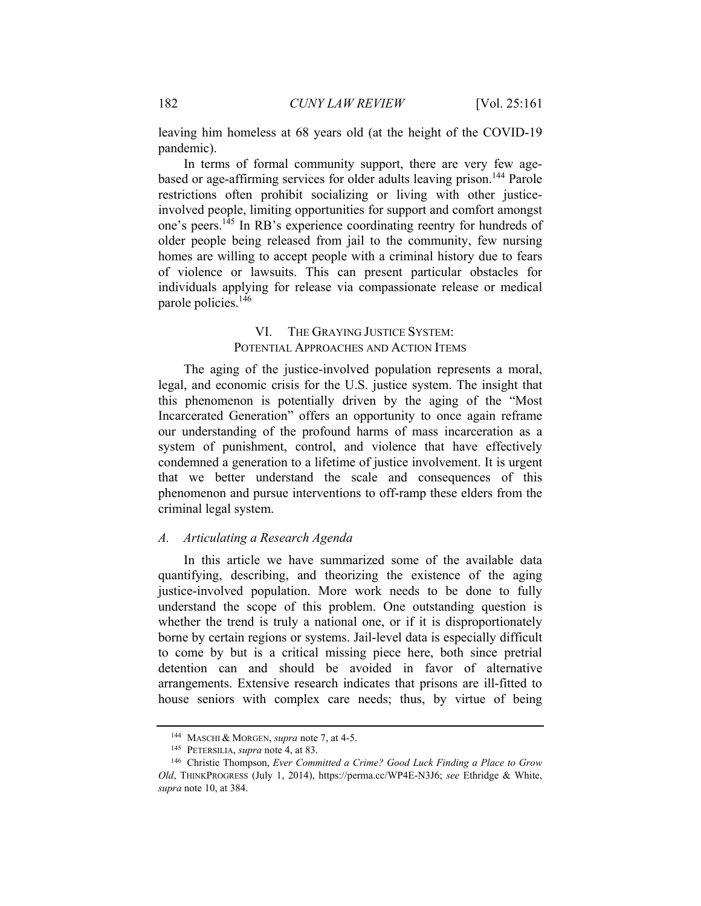leaving him homeless at 68 years old (at the height of the COVID-19 pandemic).

In terms of formal community support, there are very few agebased or age-affirming services for older adults leaving prison.<sup>144</sup> Parole restrictions often prohibit socializing or living with other justiceinvolved people, limiting opportunities for support and comfort amongst one's peers.145 In RB's experience coordinating reentry for hundreds of older people being released from jail to the community, few nursing homes are willing to accept people with a criminal history due to fears of violence or lawsuits. This can present particular obstacles for individuals applying for release via compassionate release or medical parole policies.<sup>146</sup>

## VI. THE GRAYING JUSTICE SYSTEM: POTENTIAL APPROACHES AND ACTION ITEMS

The aging of the justice-involved population represents a moral, legal, and economic crisis for the U.S. justice system. The insight that this phenomenon is potentially driven by the aging of the "Most Incarcerated Generation" offers an opportunity to once again reframe our understanding of the profound harms of mass incarceration as a system of punishment, control, and violence that have effectively condemned a generation to a lifetime of justice involvement. It is urgent that we better understand the scale and consequences of this phenomenon and pursue interventions to off-ramp these elders from the criminal legal system.

#### *A. Articulating a Research Agenda*

In this article we have summarized some of the available data quantifying, describing, and theorizing the existence of the aging justice-involved population. More work needs to be done to fully understand the scope of this problem. One outstanding question is whether the trend is truly a national one, or if it is disproportionately borne by certain regions or systems. Jail-level data is especially difficult to come by but is a critical missing piece here, both since pretrial detention can and should be avoided in favor of alternative arrangements. Extensive research indicates that prisons are ill-fitted to house seniors with complex care needs; thus, by virtue of being

<sup>&</sup>lt;sup>144</sup> MASCHI & MORGEN, *supra* note 7, at 4-5.<br><sup>145</sup> PETERSILIA, *supra* note 4, at 83.<br><sup>146</sup> Christie Thompson, *Ever Committed a Crime? Good Luck Finding a Place to Grow Old*, THINKPROGRESS (July 1, 2014), https://perma.cc/WP4E-N3J6; *see* Ethridge & White, *supra* note 10, at 384.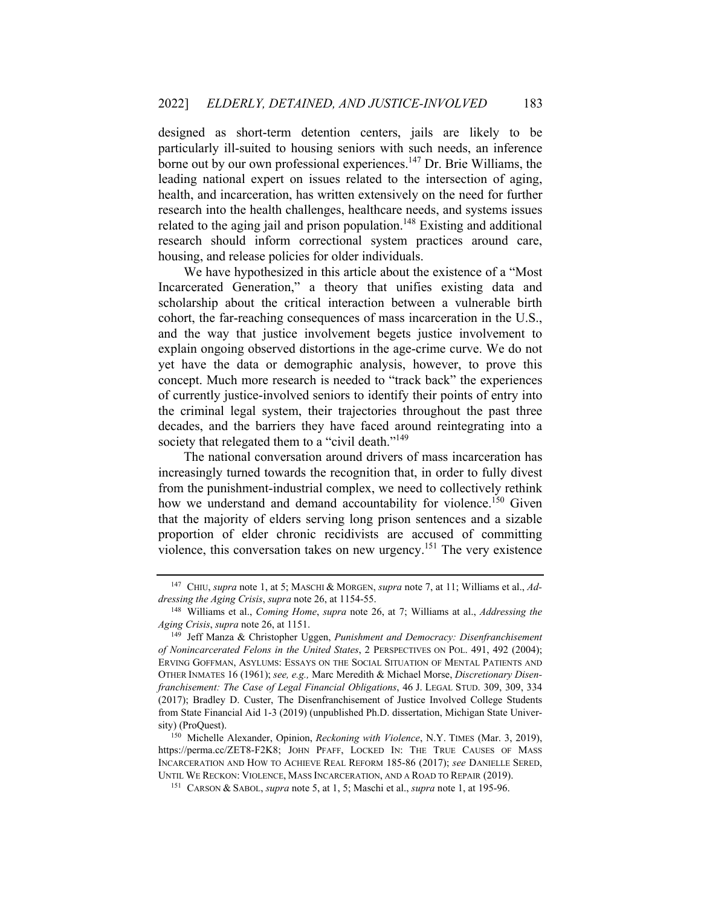designed as short-term detention centers, jails are likely to be particularly ill-suited to housing seniors with such needs, an inference borne out by our own professional experiences.147 Dr. Brie Williams, the leading national expert on issues related to the intersection of aging, health, and incarceration, has written extensively on the need for further research into the health challenges, healthcare needs, and systems issues related to the aging jail and prison population.<sup>148</sup> Existing and additional research should inform correctional system practices around care, housing, and release policies for older individuals.

We have hypothesized in this article about the existence of a "Most Incarcerated Generation," a theory that unifies existing data and scholarship about the critical interaction between a vulnerable birth cohort, the far-reaching consequences of mass incarceration in the U.S., and the way that justice involvement begets justice involvement to explain ongoing observed distortions in the age-crime curve. We do not yet have the data or demographic analysis, however, to prove this concept. Much more research is needed to "track back" the experiences of currently justice-involved seniors to identify their points of entry into the criminal legal system, their trajectories throughout the past three decades, and the barriers they have faced around reintegrating into a society that relegated them to a "civil death."<sup>149</sup>

The national conversation around drivers of mass incarceration has increasingly turned towards the recognition that, in order to fully divest from the punishment-industrial complex, we need to collectively rethink how we understand and demand accountability for violence.<sup>150</sup> Given that the majority of elders serving long prison sentences and a sizable proportion of elder chronic recidivists are accused of committing violence, this conversation takes on new urgency.151 The very existence

<sup>&</sup>lt;sup>147</sup> CHIU, *supra* note 1, at 5; MASCHI & MORGEN, *supra* note 7, at 11; Williams et al., *Addressing the Aging Crisis, supra* note 26, at 1154-55.<br><sup>148</sup> Williams et al., *Coming Home, supra* note 26, at 7; Williams at al., *Addressing the* 

*Aging Crisis, supra* note 26, at 1151.<br><sup>149</sup> Jeff Manza & Christopher Uggen, *Punishment and Democracy: Disenfranchisement* 

*of Nonincarcerated Felons in the United States*, 2 PERSPECTIVES ON POL. 491, 492 (2004); ERVING GOFFMAN, ASYLUMS: ESSAYS ON THE SOCIAL SITUATION OF MENTAL PATIENTS AND OTHER INMATES 16 (1961); *see, e.g.,* Marc Meredith & Michael Morse, *Discretionary Disenfranchisement: The Case of Legal Financial Obligations*, 46 J. LEGAL STUD. 309, 309, 334 (2017); Bradley D. Custer, The Disenfranchisement of Justice Involved College Students from State Financial Aid 1-3 (2019) (unpublished Ph.D. dissertation, Michigan State University) (ProQuest). 150 Michelle Alexander, Opinion, *Reckoning with Violence*, N.Y. TIMES (Mar. 3, 2019),

https://perma.cc/ZET8-F2K8; JOHN PFAFF, LOCKED IN: THE TRUE CAUSES OF MASS INCARCERATION AND HOW TO ACHIEVE REAL REFORM 185-86 (2017); *see* DANIELLE SERED, UNTIL WE RECKON: VIOLENCE, MASS INCARCERATION, AND A ROAD TO REPAIR (2019). 151 CARSON & SABOL, *supra* note 5, at 1, 5; Maschi et al., *supra* note 1, at 195-96.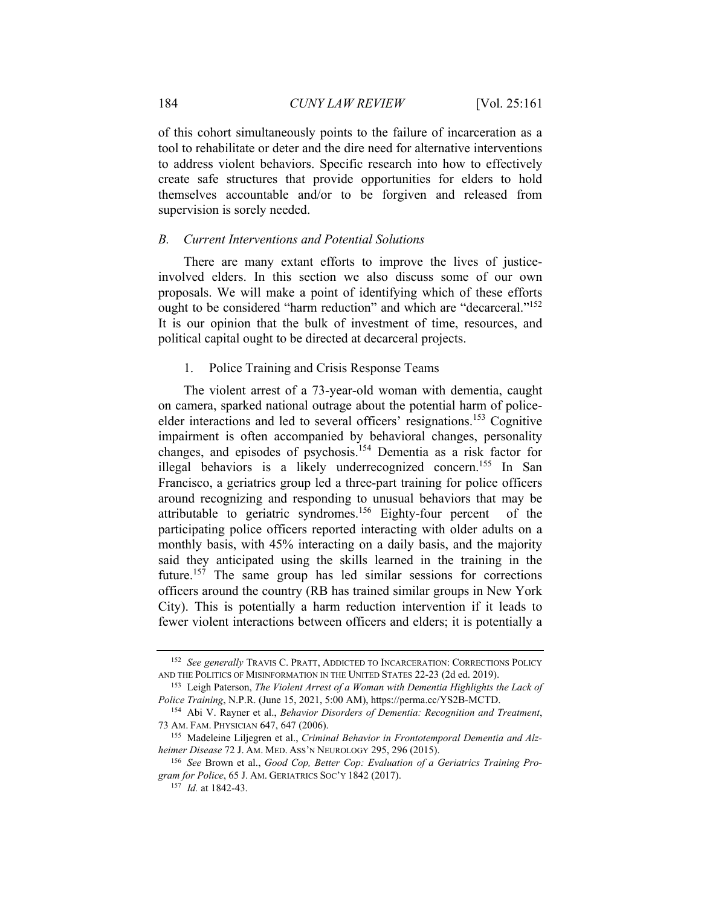of this cohort simultaneously points to the failure of incarceration as a tool to rehabilitate or deter and the dire need for alternative interventions to address violent behaviors. Specific research into how to effectively create safe structures that provide opportunities for elders to hold themselves accountable and/or to be forgiven and released from supervision is sorely needed.

#### *B. Current Interventions and Potential Solutions*

There are many extant efforts to improve the lives of justiceinvolved elders. In this section we also discuss some of our own proposals. We will make a point of identifying which of these efforts ought to be considered "harm reduction" and which are "decarceral."<sup>152</sup> It is our opinion that the bulk of investment of time, resources, and political capital ought to be directed at decarceral projects.

#### 1. Police Training and Crisis Response Teams

The violent arrest of a 73-year-old woman with dementia, caught on camera, sparked national outrage about the potential harm of policeelder interactions and led to several officers' resignations.<sup>153</sup> Cognitive impairment is often accompanied by behavioral changes, personality changes, and episodes of psychosis.154 Dementia as a risk factor for illegal behaviors is a likely underrecognized concern.<sup>155</sup> In San Francisco, a geriatrics group led a three-part training for police officers around recognizing and responding to unusual behaviors that may be attributable to geriatric syndromes.156 Eighty-four percent of the participating police officers reported interacting with older adults on a monthly basis, with 45% interacting on a daily basis, and the majority said they anticipated using the skills learned in the training in the future.<sup>157</sup> The same group has led similar sessions for corrections officers around the country (RB has trained similar groups in New York City). This is potentially a harm reduction intervention if it leads to fewer violent interactions between officers and elders; it is potentially a

<sup>152</sup> *See generally* TRAVIS C. PRATT, ADDICTED TO INCARCERATION: CORRECTIONS POLICY AND THE POLITICS OF MISINFORMATION IN THE UNITED STATES 22-23 (2d ed. 2019). 153 Leigh Paterson, *The Violent Arrest of a Woman with Dementia Highlights the Lack of* 

*Police Training*, N.P.R. (June 15, 2021, 5:00 AM), https://perma.cc/YS2B-MCTD. 154 Abi V. Rayner et al., *Behavior Disorders of Dementia: Recognition and Treatment*,

<sup>73</sup> AM. FAM. PHYSICIAN 647, 647 (2006). 155 Madeleine Liljegren et al., *Criminal Behavior in Frontotemporal Dementia and Alz-*

*heimer Disease* 72 J. AM. MED. ASS'N NEUROLOGY 295, 296 (2015).<br><sup>156</sup> See Brown et al., *Good Cop, Better Cop: Evaluation of a Geriatrics Training Pro-*

*gram for Police*, 65 J. AM. GERIATRICS SOC'Y 1842 (2017). 157 *Id.* at 1842-43.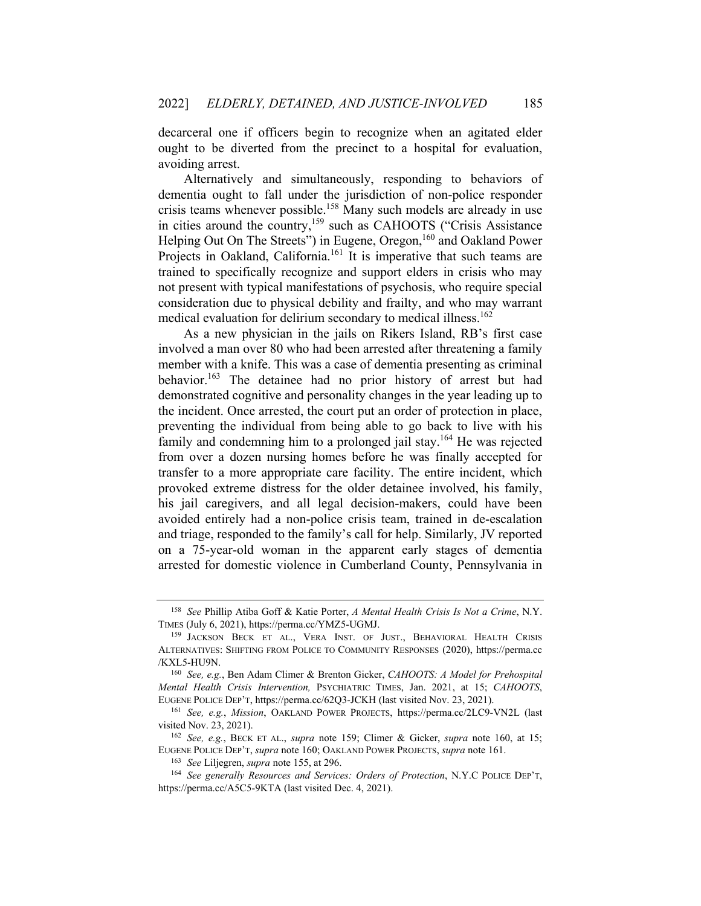decarceral one if officers begin to recognize when an agitated elder ought to be diverted from the precinct to a hospital for evaluation, avoiding arrest.

Alternatively and simultaneously, responding to behaviors of dementia ought to fall under the jurisdiction of non-police responder crisis teams whenever possible.<sup>158</sup> Many such models are already in use in cities around the country,159 such as CAHOOTS ("Crisis Assistance Helping Out On The Streets") in Eugene, Oregon,<sup>160</sup> and Oakland Power Projects in Oakland, California.<sup>161</sup> It is imperative that such teams are trained to specifically recognize and support elders in crisis who may not present with typical manifestations of psychosis, who require special consideration due to physical debility and frailty, and who may warrant medical evaluation for delirium secondary to medical illness.<sup>162</sup>

As a new physician in the jails on Rikers Island, RB's first case involved a man over 80 who had been arrested after threatening a family member with a knife. This was a case of dementia presenting as criminal behavior.163 The detainee had no prior history of arrest but had demonstrated cognitive and personality changes in the year leading up to the incident. Once arrested, the court put an order of protection in place, preventing the individual from being able to go back to live with his family and condemning him to a prolonged jail stay.<sup>164</sup> He was rejected from over a dozen nursing homes before he was finally accepted for transfer to a more appropriate care facility. The entire incident, which provoked extreme distress for the older detainee involved, his family, his jail caregivers, and all legal decision-makers, could have been avoided entirely had a non-police crisis team, trained in de-escalation and triage, responded to the family's call for help. Similarly, JV reported on a 75-year-old woman in the apparent early stages of dementia arrested for domestic violence in Cumberland County, Pennsylvania in

<sup>158</sup> *See* Phillip Atiba Goff & Katie Porter, *A Mental Health Crisis Is Not a Crime*, N.Y. TIMES (July 6, 2021), https://perma.cc/YMZ5-UGMJ. 159 JACKSON BECK ET AL., VERA INST. OF JUST., BEHAVIORAL HEALTH CRISIS

ALTERNATIVES: SHIFTING FROM POLICE TO COMMUNITY RESPONSES (2020), https://perma.cc /KXL5-HU9N. 160 *See, e.g.*, Ben Adam Climer & Brenton Gicker, *CAHOOTS: A Model for Prehospital* 

*Mental Health Crisis Intervention,* PSYCHIATRIC TIMES, Jan. 2021, at 15; *CAHOOTS*, EUGENE POLICE DEP'T, https://perma.cc/62Q3-JCKH (last visited Nov. 23, 2021). 161 *See, e.g.*, *Mission*, OAKLAND POWER PROJECTS, https://perma.cc/2LC9-VN2L (last

visited Nov. 23, 2021). 162 *See, e.g.*, BECK ET AL., *supra* note 159; Climer & Gicker, *supra* note 160, at 15;

EUGENE POLICE DEP'T, *supra* note 160; OAKLAND POWER PROJECTS, *supra* note 161.<br><sup>163</sup> See Liljegren, *supra* note 155, at 296.<br><sup>164</sup> See generally Resources and Services: Orders of Protection, N.Y.C POLICE DEP'T,

https://perma.cc/A5C5-9KTA (last visited Dec. 4, 2021).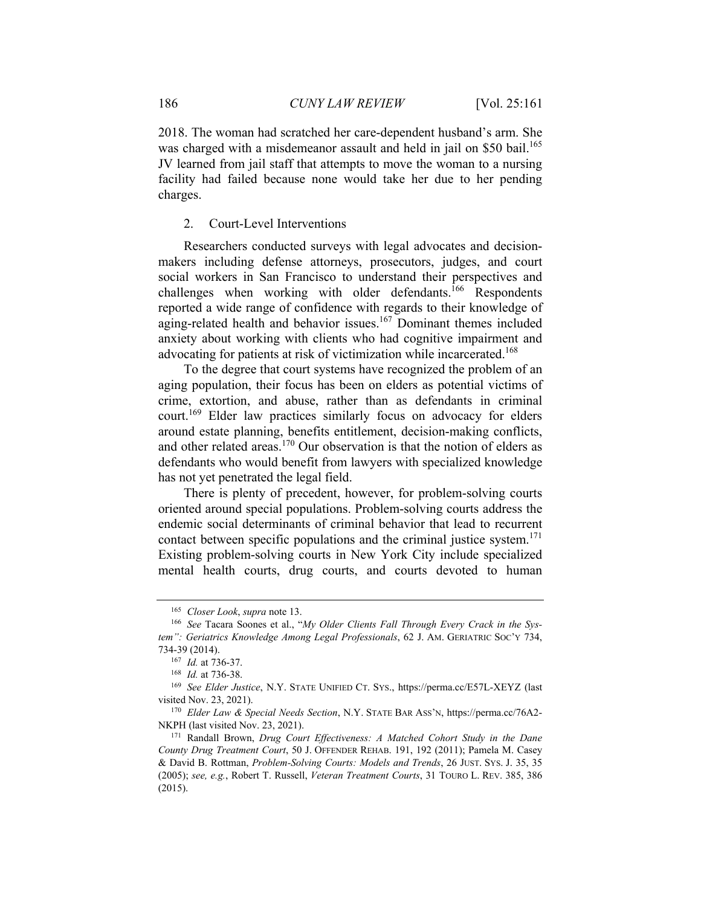2018. The woman had scratched her care-dependent husband's arm. She was charged with a misdemeanor assault and held in jail on \$50 bail.<sup>165</sup> JV learned from jail staff that attempts to move the woman to a nursing facility had failed because none would take her due to her pending charges.

2. Court-Level Interventions

Researchers conducted surveys with legal advocates and decisionmakers including defense attorneys, prosecutors, judges, and court social workers in San Francisco to understand their perspectives and challenges when working with older defendants.<sup>166</sup> Respondents reported a wide range of confidence with regards to their knowledge of aging-related health and behavior issues.<sup>167</sup> Dominant themes included anxiety about working with clients who had cognitive impairment and advocating for patients at risk of victimization while incarcerated.<sup>168</sup>

To the degree that court systems have recognized the problem of an aging population, their focus has been on elders as potential victims of crime, extortion, and abuse, rather than as defendants in criminal court.<sup>169</sup> Elder law practices similarly focus on advocacy for elders around estate planning, benefits entitlement, decision-making conflicts, and other related areas.<sup>170</sup> Our observation is that the notion of elders as defendants who would benefit from lawyers with specialized knowledge has not yet penetrated the legal field.

There is plenty of precedent, however, for problem-solving courts oriented around special populations. Problem-solving courts address the endemic social determinants of criminal behavior that lead to recurrent contact between specific populations and the criminal justice system.<sup>171</sup> Existing problem-solving courts in New York City include specialized mental health courts, drug courts, and courts devoted to human

<sup>&</sup>lt;sup>165</sup> *Closer Look, supra* note 13.<br><sup>166</sup> See Tacara Soones et al., "My Older Clients Fall Through Every Crack in the Sys*tem": Geriatrics Knowledge Among Legal Professionals*, 62 J. AM. GERIATRIC SOC'Y 734, 734-39 (2014). 167 *Id.* at 736-37.

<sup>168</sup> *Id.* at 736-38.

<sup>169</sup> *See Elder Justice*, N.Y. STATE UNIFIED CT. SYS., https://perma.cc/E57L-XEYZ (last visited Nov. 23, 2021). 170 *Elder Law & Special Needs Section*, N.Y. STATE BAR ASS'N, https://perma.cc/76A2-

NKPH (last visited Nov. 23, 2021). 171 Randall Brown, *Drug Court Effectiveness: A Matched Cohort Study in the Dane* 

*County Drug Treatment Court*, 50 J. OFFENDER REHAB. 191, 192 (2011); Pamela M. Casey & David B. Rottman, *Problem-Solving Courts: Models and Trends*, 26 JUST. SYS. J. 35, 35 (2005); *see, e.g.*, Robert T. Russell, *Veteran Treatment Courts*, 31 TOURO L. REV. 385, 386 (2015).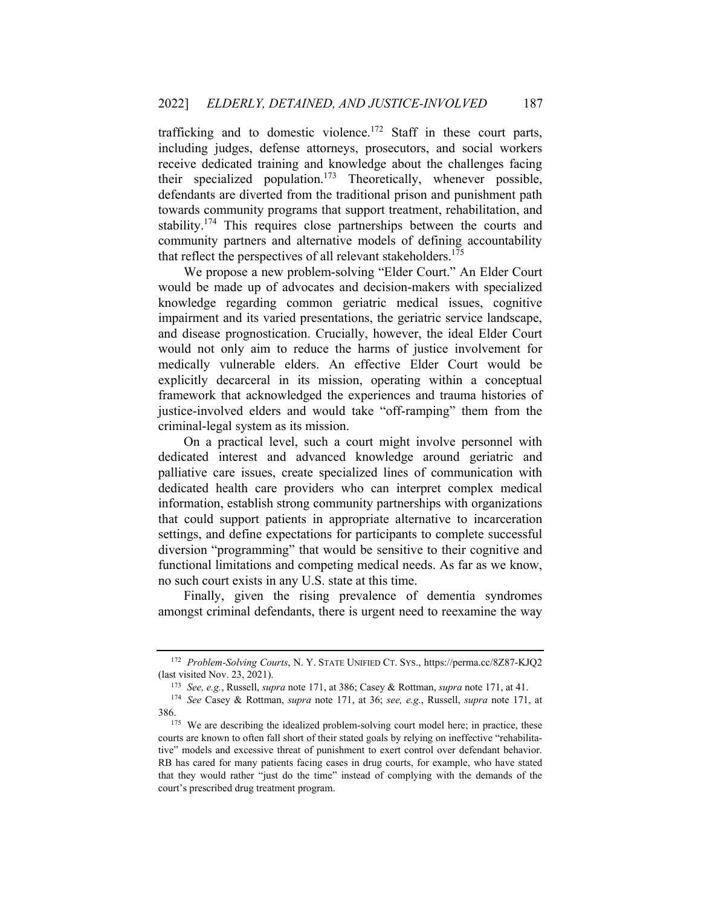trafficking and to domestic violence.<sup>172</sup> Staff in these court parts, including judges, defense attorneys, prosecutors, and social workers receive dedicated training and knowledge about the challenges facing their specialized population.<sup>173</sup> Theoretically, whenever possible, defendants are diverted from the traditional prison and punishment path towards community programs that support treatment, rehabilitation, and stability.<sup>174</sup> This requires close partnerships between the courts and community partners and alternative models of defining accountability that reflect the perspectives of all relevant stakeholders.<sup>175</sup>

We propose a new problem-solving "Elder Court." An Elder Court would be made up of advocates and decision-makers with specialized knowledge regarding common geriatric medical issues, cognitive impairment and its varied presentations, the geriatric service landscape, and disease prognostication. Crucially, however, the ideal Elder Court would not only aim to reduce the harms of justice involvement for medically vulnerable elders. An effective Elder Court would be explicitly decarceral in its mission, operating within a conceptual framework that acknowledged the experiences and trauma histories of justice-involved elders and would take "off-ramping" them from the criminal-legal system as its mission.

On a practical level, such a court might involve personnel with dedicated interest and advanced knowledge around geriatric and palliative care issues, create specialized lines of communication with dedicated health care providers who can interpret complex medical information, establish strong community partnerships with organizations that could support patients in appropriate alternative to incarceration settings, and define expectations for participants to complete successful diversion "programming" that would be sensitive to their cognitive and functional limitations and competing medical needs. As far as we know, no such court exists in any U.S. state at this time.

Finally, given the rising prevalence of dementia syndromes amongst criminal defendants, there is urgent need to reexamine the way

<sup>172</sup> *Problem-Solving Courts*, N. Y. STATE UNIFIED CT. SYS., https://perma.cc/8Z87-KJQ2 (last visited Nov. 23, 2021).<br><sup>173</sup> See, e.g., Russell, *supra* note 171, at 386; Casey & Rottman, *supra* note 171, at 41.<br><sup>174</sup> See Casey & Rottman, *supra* note 171, at 36; *see, e.g.*, Russell, *supra* note 171, at

<sup>386. 175</sup> We are describing the idealized problem-solving court model here; in practice, these

courts are known to often fall short of their stated goals by relying on ineffective "rehabilitative" models and excessive threat of punishment to exert control over defendant behavior. RB has cared for many patients facing cases in drug courts, for example, who have stated that they would rather "just do the time" instead of complying with the demands of the court's prescribed drug treatment program.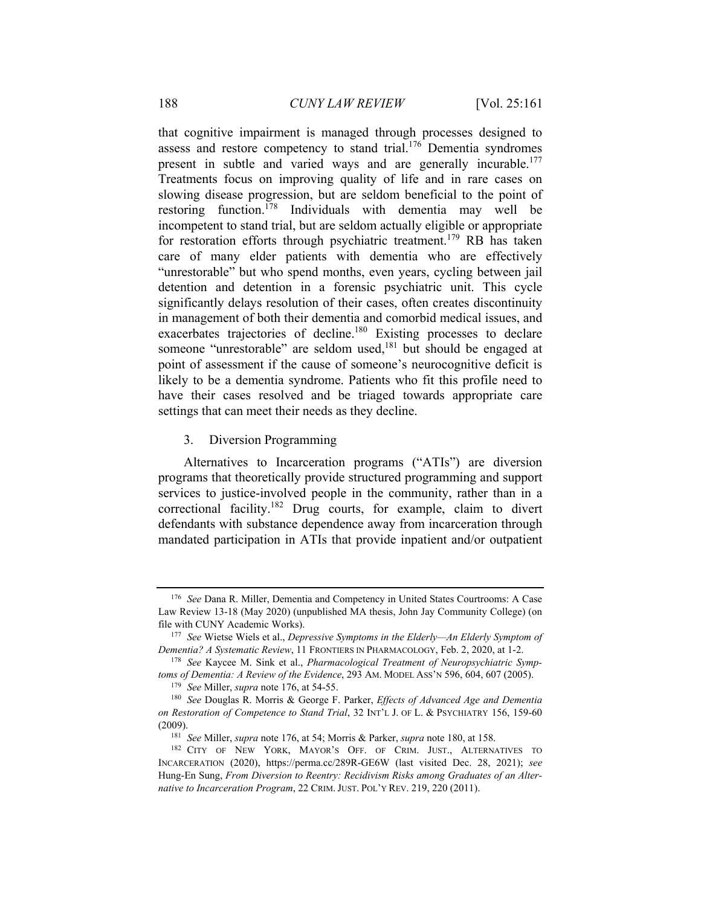that cognitive impairment is managed through processes designed to assess and restore competency to stand trial.<sup>176</sup> Dementia syndromes present in subtle and varied ways and are generally incurable.<sup>177</sup> Treatments focus on improving quality of life and in rare cases on slowing disease progression, but are seldom beneficial to the point of restoring function.178 Individuals with dementia may well be incompetent to stand trial, but are seldom actually eligible or appropriate for restoration efforts through psychiatric treatment.<sup>179</sup> RB has taken care of many elder patients with dementia who are effectively "unrestorable" but who spend months, even years, cycling between jail detention and detention in a forensic psychiatric unit. This cycle significantly delays resolution of their cases, often creates discontinuity in management of both their dementia and comorbid medical issues, and exacerbates trajectories of decline.<sup>180</sup> Existing processes to declare someone "unrestorable" are seldom used,<sup>181</sup> but should be engaged at point of assessment if the cause of someone's neurocognitive deficit is likely to be a dementia syndrome. Patients who fit this profile need to have their cases resolved and be triaged towards appropriate care settings that can meet their needs as they decline.

3. Diversion Programming

Alternatives to Incarceration programs ("ATIs") are diversion programs that theoretically provide structured programming and support services to justice-involved people in the community, rather than in a correctional facility.<sup>182</sup> Drug courts, for example, claim to divert defendants with substance dependence away from incarceration through mandated participation in ATIs that provide inpatient and/or outpatient

<sup>176</sup> *See* Dana R. Miller, Dementia and Competency in United States Courtrooms: A Case Law Review 13-18 (May 2020) (unpublished MA thesis, John Jay Community College) (on file with CUNY Academic Works). 177 *See* Wietse Wiels et al., *Depressive Symptoms in the Elderly—An Elderly Symptom of* 

*Dementia? A Systematic Review*, 11 FRONTIERS IN PHARMACOLOGY, Feb. 2, 2020, at 1-2.<br><sup>178</sup> *See* Kaycee M. Sink et al., *Pharmacological Treatment of Neuropsychiatric Symp-<br><i>toms of Dementia: A Review of the Evidence*, 293

<sup>&</sup>lt;sup>179</sup> See Miller, supra note 176, at 54-55.<br><sup>180</sup> See Douglas R. Morris & George F. Parker, *Effects of Advanced Age and Dementia on Restoration of Competence to Stand Trial*, 32 INT'L J. OF L. & PSYCHIATRY 156, 159-60

<sup>(2009).&</sup>lt;br><sup>181</sup> See Miller, *supra* note 176, at 54; Morris & Parker, *supra* note 180, at 158.<br><sup>182</sup> CITY OF NEW YORK, MAYOR'S OFF. OF CRIM. JUST., ALTERNATIVES TO INCARCERATION (2020), https://perma.cc/289R-GE6W (last visited Dec. 28, 2021); *see* Hung-En Sung, *From Diversion to Reentry: Recidivism Risks among Graduates of an Alternative to Incarceration Program*, 22 CRIM. JUST. POL'Y REV. 219, 220 (2011).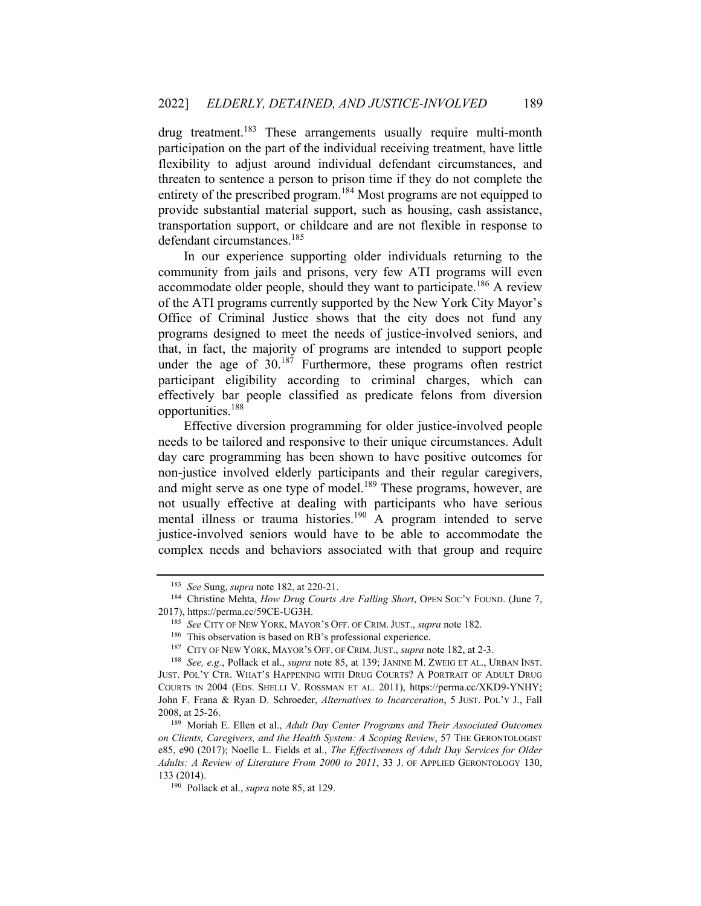drug treatment.<sup>183</sup> These arrangements usually require multi-month participation on the part of the individual receiving treatment, have little flexibility to adjust around individual defendant circumstances, and threaten to sentence a person to prison time if they do not complete the entirety of the prescribed program.<sup>184</sup> Most programs are not equipped to provide substantial material support, such as housing, cash assistance, transportation support, or childcare and are not flexible in response to defendant circumstances.<sup>185</sup>

In our experience supporting older individuals returning to the community from jails and prisons, very few ATI programs will even accommodate older people, should they want to participate.<sup>186</sup> A review of the ATI programs currently supported by the New York City Mayor's Office of Criminal Justice shows that the city does not fund any programs designed to meet the needs of justice-involved seniors, and that, in fact, the majority of programs are intended to support people under the age of  $30^{187}$  Furthermore, these programs often restrict participant eligibility according to criminal charges, which can effectively bar people classified as predicate felons from diversion opportunities.<sup>188</sup>

Effective diversion programming for older justice-involved people needs to be tailored and responsive to their unique circumstances. Adult day care programming has been shown to have positive outcomes for non-justice involved elderly participants and their regular caregivers, and might serve as one type of model.<sup>189</sup> These programs, however, are not usually effective at dealing with participants who have serious mental illness or trauma histories.<sup>190</sup> A program intended to serve justice-involved seniors would have to be able to accommodate the complex needs and behaviors associated with that group and require

<sup>&</sup>lt;sup>183</sup> See Sung, *supra* note 182, at 220-21.<br><sup>184</sup> Christine Mehta, *How Drug Courts Are Falling Short*, OPEN Soc'Y FOUND. (June 7, 2017), https://perma.cc/59CE-UG3H.<br><sup>185</sup> See CITY OF NEW YORK, MAYOR'S OFF. OF CRIM. JUST., *supra* note 182.<br><sup>186</sup> This observation is based on RB's professional experience.<br><sup>187</sup> CITY OF NEW YORK, MAYOR'S OFF. OF CRIM. J

JUST. POL'Y CTR. WHAT'S HAPPENING WITH DRUG COURTS? A PORTRAIT OF ADULT DRUG COURTS IN 2004 (EDS. SHELLI V. ROSSMAN ET AL. 2011), https://perma.cc/XKD9-YNHY; John F. Frana & Ryan D. Schroeder, *Alternatives to Incarceration*, 5 JUST. POL'Y J., Fall 2008, at 25-26. 189 Moriah E. Ellen et al., *Adult Day Center Programs and Their Associated Outcomes* 

*on Clients, Caregivers, and the Health System: A Scoping Review*, 57 THE GERONTOLOGIST e85, e90 (2017); Noelle L. Fields et al., *The Effectiveness of Adult Day Services for Older Adults: A Review of Literature From 2000 to 2011*, 33 J. OF APPLIED GERONTOLOGY 130, 133 (2014). 190 Pollack et al., *supra* note 85, at 129.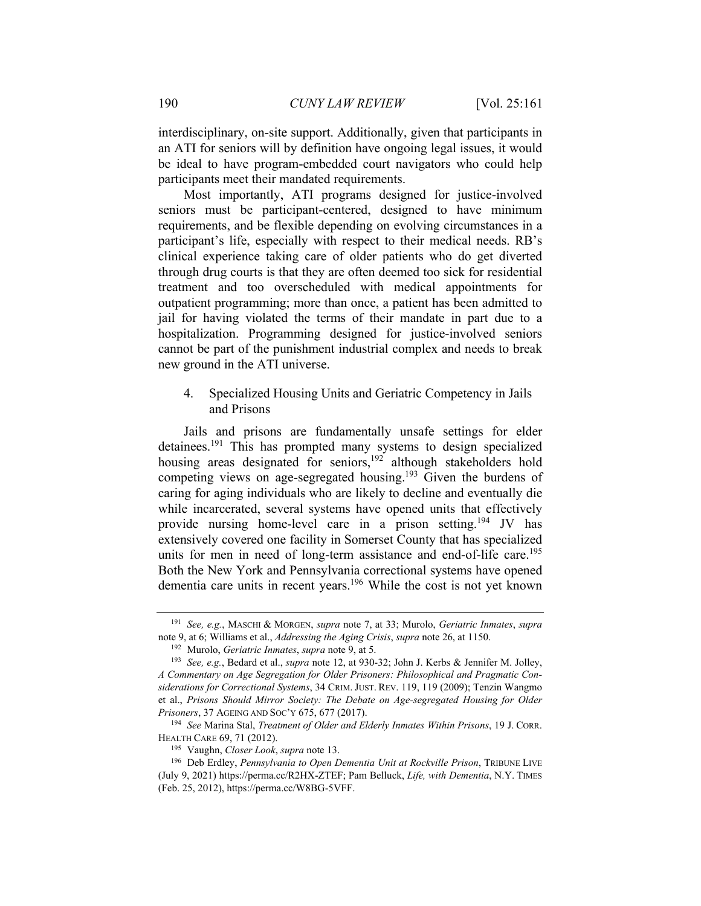interdisciplinary, on-site support. Additionally, given that participants in an ATI for seniors will by definition have ongoing legal issues, it would be ideal to have program-embedded court navigators who could help participants meet their mandated requirements.

Most importantly, ATI programs designed for justice-involved seniors must be participant-centered, designed to have minimum requirements, and be flexible depending on evolving circumstances in a participant's life, especially with respect to their medical needs. RB's clinical experience taking care of older patients who do get diverted through drug courts is that they are often deemed too sick for residential treatment and too overscheduled with medical appointments for outpatient programming; more than once, a patient has been admitted to jail for having violated the terms of their mandate in part due to a hospitalization. Programming designed for justice-involved seniors cannot be part of the punishment industrial complex and needs to break new ground in the ATI universe.

# 4. Specialized Housing Units and Geriatric Competency in Jails and Prisons

Jails and prisons are fundamentally unsafe settings for elder detainees.<sup>191</sup> This has prompted many systems to design specialized housing areas designated for seniors,<sup>192</sup> although stakeholders hold competing views on age-segregated housing.<sup>193</sup> Given the burdens of caring for aging individuals who are likely to decline and eventually die while incarcerated, several systems have opened units that effectively provide nursing home-level care in a prison setting.194 JV has extensively covered one facility in Somerset County that has specialized units for men in need of long-term assistance and end-of-life care.<sup>195</sup> Both the New York and Pennsylvania correctional systems have opened dementia care units in recent years.<sup>196</sup> While the cost is not yet known

<sup>191</sup> *See, e.g.*, MASCHI & MORGEN, *supra* note 7, at 33; Murolo, *Geriatric Inmates*, *supra* note 9, at 6; Williams et al., *Addressing the Aging Crisis*, *supra* note 26, at 1150.<br><sup>192</sup> Murolo, *Geriatric Inmates*, *supra* note 9, at 5.<br><sup>193</sup> *See*, *e.g.*, Bedard et al., *supra* note 12, at 930-32; John J. Kerbs

*A Commentary on Age Segregation for Older Prisoners: Philosophical and Pragmatic Considerations for Correctional Systems*, 34 CRIM. JUST. REV. 119, 119 (2009); Tenzin Wangmo et al., *Prisons Should Mirror Society: The Debate on Age-segregated Housing for Older Prisoners*, 37 AGEING AND SOC'Y 675, 677 (2017). 194 *See* Marina Stal, *Treatment of Older and Elderly Inmates Within Prisons*, 19 J. CORR.

HEALTH CARE 69, 71 (2012).<br><sup>195</sup> Vaughn, *Closer Look*, *supra* note 13.<br><sup>196</sup> Deb Erdley, *Pennsylvania to Open Dementia Unit at Rockville Prison*, TRIBUNE LIVE

<sup>(</sup>July 9, 2021) https://perma.cc/R2HX-ZTEF; Pam Belluck, *Life, with Dementia*, N.Y. TIMES (Feb. 25, 2012), https://perma.cc/W8BG-5VFF.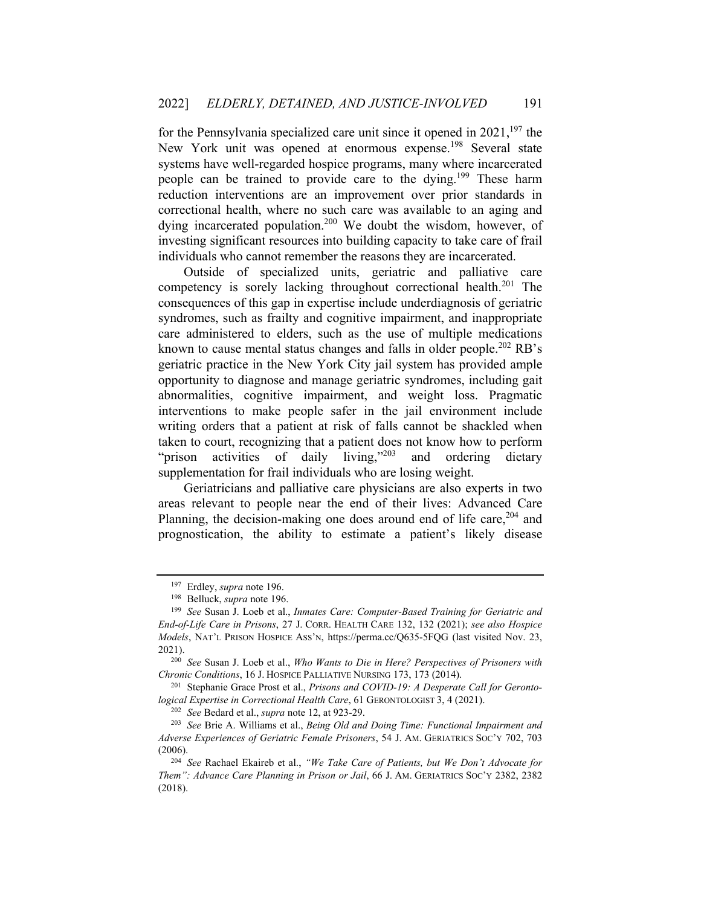for the Pennsylvania specialized care unit since it opened in  $2021$ , <sup>197</sup> the New York unit was opened at enormous expense.<sup>198</sup> Several state systems have well-regarded hospice programs, many where incarcerated people can be trained to provide care to the dying.199 These harm reduction interventions are an improvement over prior standards in correctional health, where no such care was available to an aging and dying incarcerated population.<sup>200</sup> We doubt the wisdom, however, of investing significant resources into building capacity to take care of frail individuals who cannot remember the reasons they are incarcerated.

Outside of specialized units, geriatric and palliative care competency is sorely lacking throughout correctional health.<sup>201</sup> The consequences of this gap in expertise include underdiagnosis of geriatric syndromes, such as frailty and cognitive impairment, and inappropriate care administered to elders, such as the use of multiple medications known to cause mental status changes and falls in older people.<sup>202</sup> RB's geriatric practice in the New York City jail system has provided ample opportunity to diagnose and manage geriatric syndromes, including gait abnormalities, cognitive impairment, and weight loss. Pragmatic interventions to make people safer in the jail environment include writing orders that a patient at risk of falls cannot be shackled when taken to court, recognizing that a patient does not know how to perform "prison activities of daily living," and ordering dietary" supplementation for frail individuals who are losing weight.

Geriatricians and palliative care physicians are also experts in two areas relevant to people near the end of their lives: Advanced Care Planning, the decision-making one does around end of life care,  $204$  and prognostication, the ability to estimate a patient's likely disease

<sup>&</sup>lt;sup>197</sup> Erdley, *supra* note 196.<br><sup>198</sup> Belluck, *supra* note 196.<br><sup>199</sup> See Susan J. Loeb et al., *Inmates Care: Computer-Based Training for Geriatric and End-of-Life Care in Prisons*, 27 J. CORR. HEALTH CARE 132, 132 (2021); *see also Hospice Models*, NAT'L PRISON HOSPICE ASS'N, https://perma.cc/Q635-5FQG (last visited Nov. 23, 2021). 200 *See* Susan J. Loeb et al., *Who Wants to Die in Here? Perspectives of Prisoners with* 

*Chronic Conditions*, 16 J. HOSPICE PALLIATIVE NURSING 173, 173 (2014).<br><sup>201</sup> Stephanie Grace Prost et al., *Prisons and COVID-19: A Desperate Call for Geronto-*

*logical Expertise in Correctional Health Care*, 61 GERONTOLOGIST 3, 4 (2021).

<sup>202</sup> *See* Bedard et al., *supra* note 12, at 923-29. 203 *See* Brie A. Williams et al., *Being Old and Doing Time: Functional Impairment and Adverse Experiences of Geriatric Female Prisoners*, 54 J. AM. GERIATRICS SOC'Y 702, 703 (2006). 204 *See* Rachael Ekaireb et al., *"We Take Care of Patients, but We Don't Advocate for* 

*Them": Advance Care Planning in Prison or Jail*, 66 J. AM. GERIATRICS SOC'Y 2382, 2382 (2018).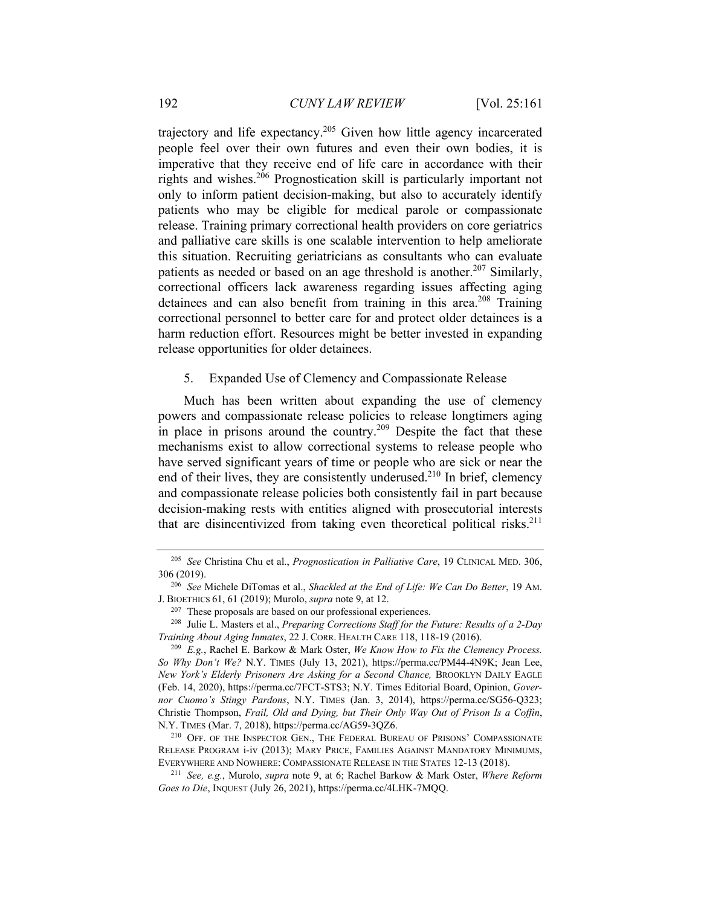trajectory and life expectancy.205 Given how little agency incarcerated people feel over their own futures and even their own bodies, it is imperative that they receive end of life care in accordance with their rights and wishes.206 Prognostication skill is particularly important not only to inform patient decision-making, but also to accurately identify patients who may be eligible for medical parole or compassionate release. Training primary correctional health providers on core geriatrics and palliative care skills is one scalable intervention to help ameliorate this situation. Recruiting geriatricians as consultants who can evaluate patients as needed or based on an age threshold is another.<sup>207</sup> Similarly, correctional officers lack awareness regarding issues affecting aging detainees and can also benefit from training in this area.<sup>208</sup> Training correctional personnel to better care for and protect older detainees is a harm reduction effort. Resources might be better invested in expanding release opportunities for older detainees.

#### 5. Expanded Use of Clemency and Compassionate Release

Much has been written about expanding the use of clemency powers and compassionate release policies to release longtimers aging in place in prisons around the country.<sup>209</sup> Despite the fact that these mechanisms exist to allow correctional systems to release people who have served significant years of time or people who are sick or near the end of their lives, they are consistently underused. $210$  In brief, clemency and compassionate release policies both consistently fail in part because decision-making rests with entities aligned with prosecutorial interests that are disincentivized from taking even theoretical political risks.<sup>211</sup>

<sup>205</sup> *See* Christina Chu et al., *Prognostication in Palliative Care*, 19 CLINICAL MED. 306, 306 (2019). 206 *See* Michele DiTomas et al., *Shackled at the End of Life: We Can Do Better*, 19 AM.

J. BIOETHICS 61, 61 (2019); Murolo, *supra* note 9, at 12.<br><sup>207</sup> These proposals are based on our professional experiences.<br><sup>208</sup> Julie L. Masters et al., *Preparing Corrections Staff for the Future: Results of a 2-Day* 

*Training About Aging Inmates*, 22 J. CORR. HEALTH CARE 118, 118-19 (2016).<br><sup>209</sup> E.g., Rachel E. Barkow & Mark Oster, *We Know How to Fix the Clemency Process.* 

*So Why Don't We?* N.Y. TIMES (July 13, 2021), https://perma.cc/PM44-4N9K; Jean Lee, *New York's Elderly Prisoners Are Asking for a Second Chance,* BROOKLYN DAILY EAGLE (Feb. 14, 2020), https://perma.cc/7FCT-STS3; N.Y. Times Editorial Board, Opinion, *Governor Cuomo's Stingy Pardons*, N.Y. TIMES (Jan. 3, 2014), https://perma.cc/SG56-Q323; Christie Thompson, *Frail, Old and Dying, but Their Only Way Out of Prison Is a Coffin*, N.Y. TIMES (Mar. 7, 2018), https://perma.cc/AG59-3QZ6.<br><sup>210</sup> OFF. OF THE INSPECTOR GEN., THE FEDERAL BUREAU OF PRISONS' COMPASSIONATE

RELEASE PROGRAM i-iv (2013); MARY PRICE, FAMILIES AGAINST MANDATORY MINIMUMS, EVERYWHERE AND NOWHERE: COMPASSIONATE RELEASE IN THE STATES 12-13 (2018). 211 *See, e.g.*, Murolo, *supra* note 9, at 6; Rachel Barkow & Mark Oster, *Where Reform* 

*Goes to Die*, INQUEST (July 26, 2021), https://perma.cc/4LHK-7MQQ.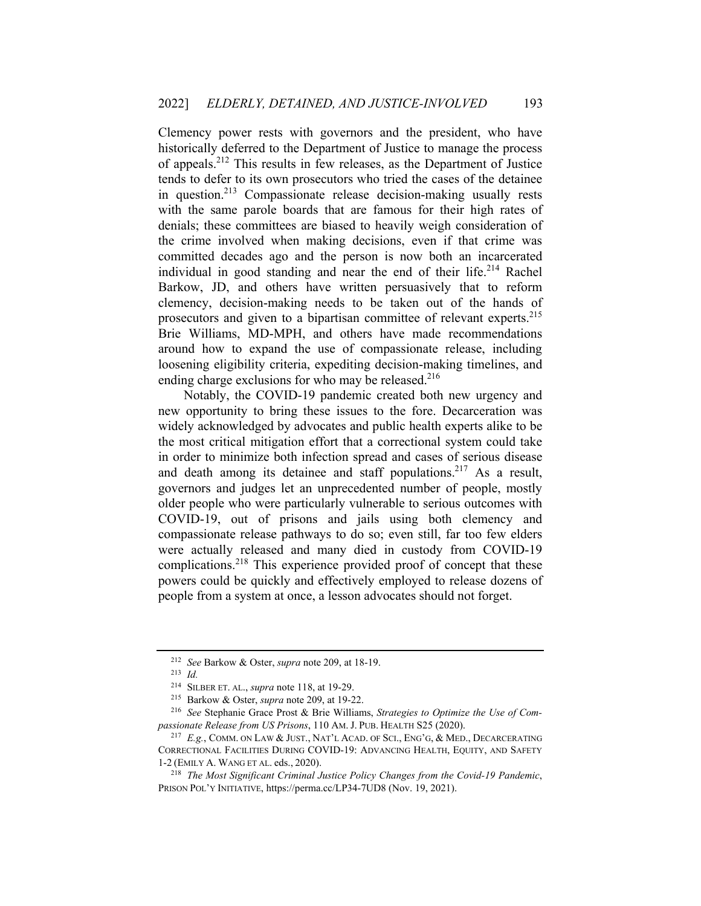Clemency power rests with governors and the president, who have historically deferred to the Department of Justice to manage the process of appeals.212 This results in few releases, as the Department of Justice tends to defer to its own prosecutors who tried the cases of the detainee in question.213 Compassionate release decision-making usually rests with the same parole boards that are famous for their high rates of denials; these committees are biased to heavily weigh consideration of the crime involved when making decisions, even if that crime was committed decades ago and the person is now both an incarcerated individual in good standing and near the end of their life.<sup>214</sup> Rachel Barkow, JD, and others have written persuasively that to reform clemency, decision-making needs to be taken out of the hands of prosecutors and given to a bipartisan committee of relevant experts.<sup>215</sup> Brie Williams, MD-MPH, and others have made recommendations around how to expand the use of compassionate release, including loosening eligibility criteria, expediting decision-making timelines, and ending charge exclusions for who may be released. $216$ 

Notably, the COVID-19 pandemic created both new urgency and new opportunity to bring these issues to the fore. Decarceration was widely acknowledged by advocates and public health experts alike to be the most critical mitigation effort that a correctional system could take in order to minimize both infection spread and cases of serious disease and death among its detainee and staff populations.<sup>217</sup> As a result, governors and judges let an unprecedented number of people, mostly older people who were particularly vulnerable to serious outcomes with COVID-19, out of prisons and jails using both clemency and compassionate release pathways to do so; even still, far too few elders were actually released and many died in custody from COVID-19 complications.218 This experience provided proof of concept that these powers could be quickly and effectively employed to release dozens of people from a system at once, a lesson advocates should not forget.

<sup>212</sup> *See* Barkow & Oster, *supra* note 209, at 18-19. 213 *Id.*

<sup>214</sup> SILBER ET. AL., *supra* note 118, at 19-29. 215 Barkow & Oster, *supra* note 209, at 19-22. 216 *See* Stephanie Grace Prost & Brie Williams, *Strategies to Optimize the Use of Compassionate Release from US Prisons*, 110 AM. J. PUB. HEALTH S25 (2020).<br><sup>217</sup> *E.g.*, COMM. ON LAW & JUST., NAT'L ACAD. OF SCI., ENG'G, & MED., DECARCERATING

CORRECTIONAL FACILITIES DURING COVID-19: ADVANCING HEALTH, EQUITY, AND SAFETY 1-2 (EMILY A. WANG ET AL. eds., 2020). 218 *The Most Significant Criminal Justice Policy Changes from the Covid-19 Pandemic*,

PRISON POL'Y INITIATIVE, https://perma.cc/LP34-7UD8 (Nov. 19, 2021).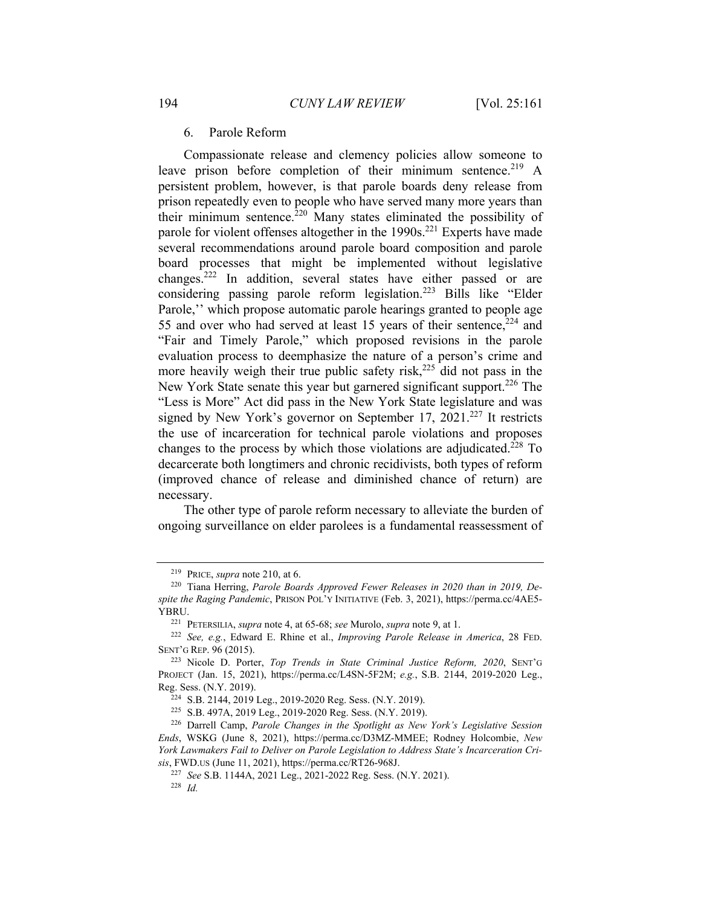#### 6. Parole Reform

Compassionate release and clemency policies allow someone to leave prison before completion of their minimum sentence.<sup>219</sup> A persistent problem, however, is that parole boards deny release from prison repeatedly even to people who have served many more years than their minimum sentence. $220$  Many states eliminated the possibility of parole for violent offenses altogether in the  $1990s$ <sup>221</sup> Experts have made several recommendations around parole board composition and parole board processes that might be implemented without legislative changes.222 In addition, several states have either passed or are considering passing parole reform legislation.223 Bills like "Elder Parole," which propose automatic parole hearings granted to people age 55 and over who had served at least 15 years of their sentence,  $224$  and "Fair and Timely Parole," which proposed revisions in the parole evaluation process to deemphasize the nature of a person's crime and more heavily weigh their true public safety risk, $225$  did not pass in the New York State senate this year but garnered significant support.<sup>226</sup> The "Less is More" Act did pass in the New York State legislature and was signed by New York's governor on September 17,  $2021.^{227}$  It restricts the use of incarceration for technical parole violations and proposes changes to the process by which those violations are adjudicated.<sup>228</sup> To decarcerate both longtimers and chronic recidivists, both types of reform (improved chance of release and diminished chance of return) are necessary.

The other type of parole reform necessary to alleviate the burden of ongoing surveillance on elder parolees is a fundamental reassessment of

<sup>&</sup>lt;sup>219</sup> PRICE, *supra* note 210, at 6.<br><sup>220</sup> Tiana Herring, *Parole Boards Approved Fewer Releases in 2020 than in 2019, Despite the Raging Pandemic*, PRISON POL'Y INITIATIVE (Feb. 3, 2021), https://perma.cc/4AE5- YBRU. 221 PETERSILIA, *supra* note 4, at 65-68; *see* Murolo, *supra* note 9, at 1. 222 *See, e.g.*, Edward E. Rhine et al., *Improving Parole Release in America*, 28 FED.

SENT'G REP. 96 (2015). 223 Nicole D. Porter, *Top Trends in State Criminal Justice Reform, 2020*, SENT'G

PROJECT (Jan. 15, 2021), https://perma.cc/L4SN-5F2M; *e.g.*, S.B. 2144, 2019-2020 Leg., Reg. Sess. (N.Y. 2019).<br><sup>224</sup> S.B. 2144, 2019 Leg., 2019-2020 Reg. Sess. (N.Y. 2019).<br><sup>225</sup> S.B. 497A, 2019 Leg., 2019-2020 Reg. Sess. (N.Y. 2019).<br><sup>226</sup> Darrell Camp, *Parole Changes in the Spotlight as New York's Legisla* 

*Ends*, WSKG (June 8, 2021), https://perma.cc/D3MZ-MMEE; Rodney Holcombie, *New York Lawmakers Fail to Deliver on Parole Legislation to Address State's Incarceration Cri-*

*sis*, FWD.US (June 11, 2021), https://perma.cc/RT26-968J. 227 *See* S.B. 1144A, 2021 Leg., 2021-2022 Reg. Sess. (N.Y. 2021). 228 *Id.*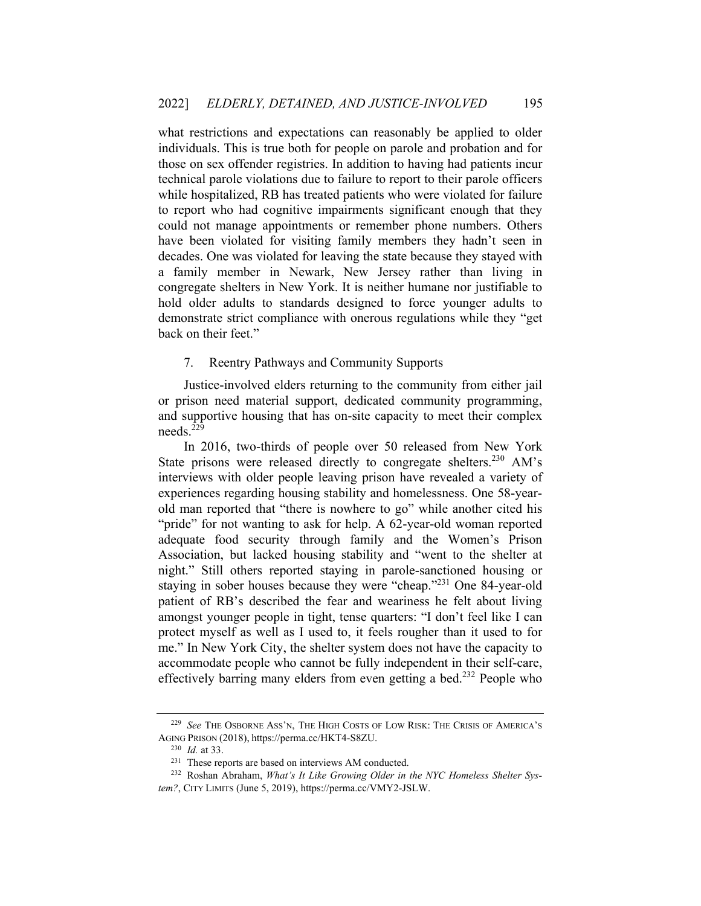what restrictions and expectations can reasonably be applied to older individuals. This is true both for people on parole and probation and for those on sex offender registries. In addition to having had patients incur technical parole violations due to failure to report to their parole officers while hospitalized, RB has treated patients who were violated for failure to report who had cognitive impairments significant enough that they could not manage appointments or remember phone numbers. Others have been violated for visiting family members they hadn't seen in decades. One was violated for leaving the state because they stayed with a family member in Newark, New Jersey rather than living in congregate shelters in New York. It is neither humane nor justifiable to hold older adults to standards designed to force younger adults to demonstrate strict compliance with onerous regulations while they "get back on their feet."

#### 7. Reentry Pathways and Community Supports

Justice-involved elders returning to the community from either jail or prison need material support, dedicated community programming, and supportive housing that has on-site capacity to meet their complex needs.229

In 2016, two-thirds of people over 50 released from New York State prisons were released directly to congregate shelters.<sup>230</sup> AM's interviews with older people leaving prison have revealed a variety of experiences regarding housing stability and homelessness. One 58-yearold man reported that "there is nowhere to go" while another cited his "pride" for not wanting to ask for help. A 62-year-old woman reported adequate food security through family and the Women's Prison Association, but lacked housing stability and "went to the shelter at night." Still others reported staying in parole-sanctioned housing or staying in sober houses because they were "cheap."231 One 84-year-old patient of RB's described the fear and weariness he felt about living amongst younger people in tight, tense quarters: "I don't feel like I can protect myself as well as I used to, it feels rougher than it used to for me." In New York City, the shelter system does not have the capacity to accommodate people who cannot be fully independent in their self-care, effectively barring many elders from even getting a bed.<sup>232</sup> People who

<sup>229</sup> *See* THE OSBORNE ASS'N, THE HIGH COSTS OF LOW RISK: THE CRISIS OF AMERICA'S AGING PRISON (2018), https://perma.cc/HKT4-S8ZU.<br><sup>230</sup> *Id.* at 33.<br><sup>231</sup> These reports are based on interviews AM conducted.<br><sup>232</sup> Roshan Abraham, *What's It Like Growing Older in the NYC Homeless Shelter Sys-*

*tem?*, CITY LIMITS (June 5, 2019), https://perma.cc/VMY2-JSLW.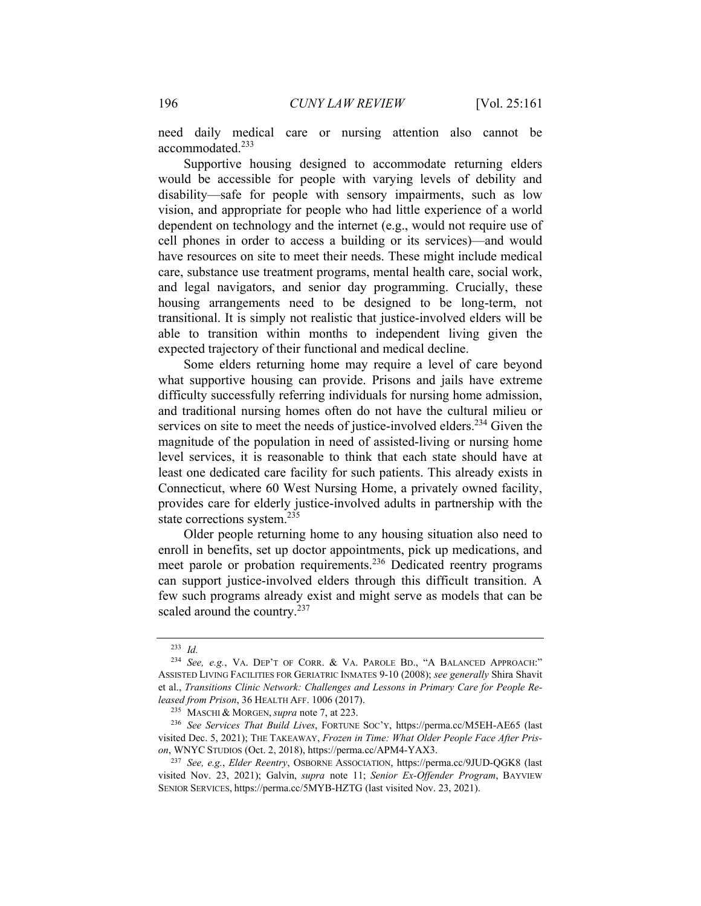need daily medical care or nursing attention also cannot be accommodated.233

Supportive housing designed to accommodate returning elders would be accessible for people with varying levels of debility and disability—safe for people with sensory impairments, such as low vision, and appropriate for people who had little experience of a world dependent on technology and the internet (e.g., would not require use of cell phones in order to access a building or its services)—and would have resources on site to meet their needs. These might include medical care, substance use treatment programs, mental health care, social work, and legal navigators, and senior day programming. Crucially, these housing arrangements need to be designed to be long-term, not transitional. It is simply not realistic that justice-involved elders will be able to transition within months to independent living given the expected trajectory of their functional and medical decline.

Some elders returning home may require a level of care beyond what supportive housing can provide. Prisons and jails have extreme difficulty successfully referring individuals for nursing home admission, and traditional nursing homes often do not have the cultural milieu or services on site to meet the needs of justice-involved elders.<sup>234</sup> Given the magnitude of the population in need of assisted-living or nursing home level services, it is reasonable to think that each state should have at least one dedicated care facility for such patients. This already exists in Connecticut, where 60 West Nursing Home, a privately owned facility, provides care for elderly justice-involved adults in partnership with the state corrections system.<sup>235</sup>

Older people returning home to any housing situation also need to enroll in benefits, set up doctor appointments, pick up medications, and meet parole or probation requirements.<sup>236</sup> Dedicated reentry programs can support justice-involved elders through this difficult transition. A few such programs already exist and might serve as models that can be scaled around the country.<sup>237</sup>

<sup>233</sup> *Id.*

<sup>234</sup> *See, e.g.*, VA. DEP'T OF CORR. & VA. PAROLE BD., "A BALANCED APPROACH:" ASSISTED LIVING FACILITIES FOR GERIATRIC INMATES 9-10 (2008); *see generally* Shira Shavit et al., *Transitions Clinic Network: Challenges and Lessons in Primary Care for People Released from Prison*, 36 HEALTH AFF. 1006 (2017).<br><sup>235</sup> MASCHI & MORGEN, *supra* note 7, at 223.<br><sup>236</sup> See Services That Build Lives, FORTUNE SOC'Y, https://perma.cc/M5EH-AE65 (last

visited Dec. 5, 2021); THE TAKEAWAY, *Frozen in Time: What Older People Face After Prison*, WNYC STUDIOS (Oct. 2, 2018), https://perma.cc/APM4-YAX3. 237 *See, e.g.*, *Elder Reentry*, OSBORNE ASSOCIATION, https://perma.cc/9JUD-QGK8 (last

visited Nov. 23, 2021); Galvin, *supra* note 11; *Senior Ex-Offender Program*, BAYVIEW SENIOR SERVICES, https://perma.cc/5MYB-HZTG (last visited Nov. 23, 2021).